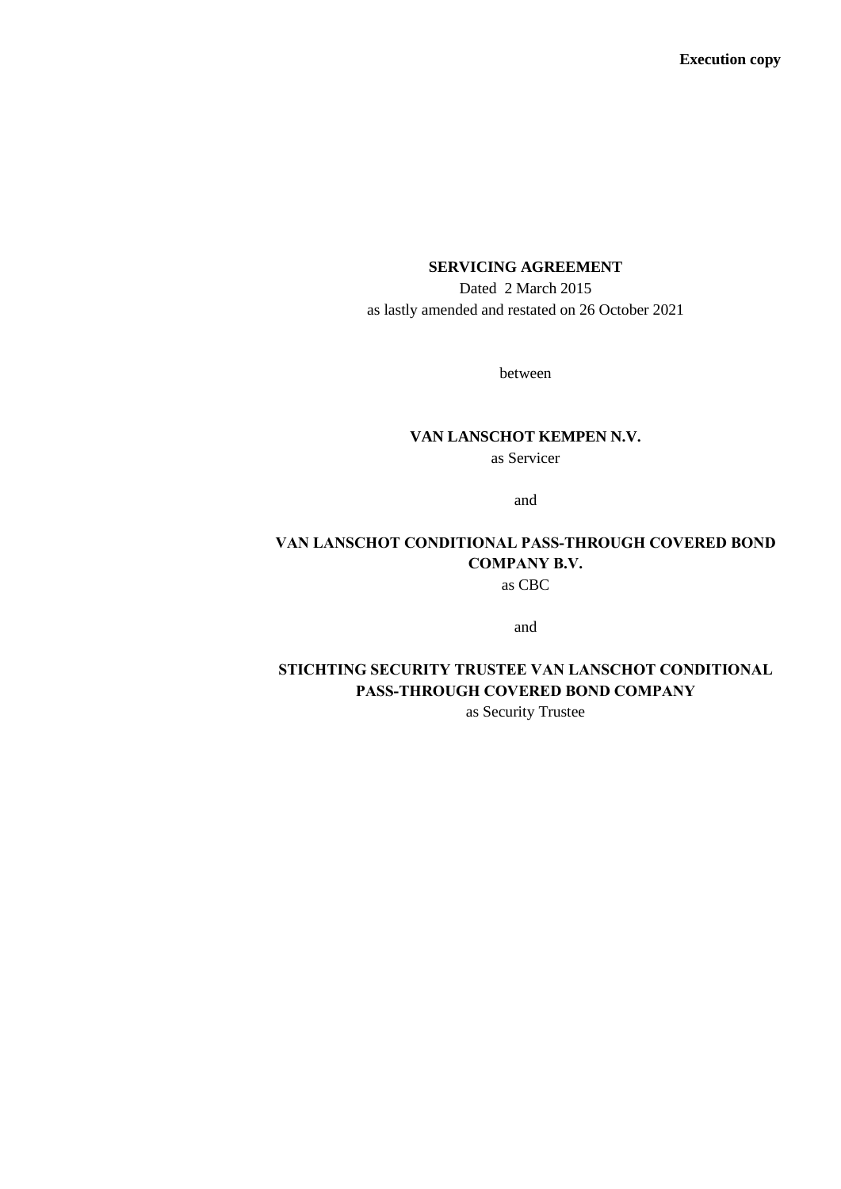**Execution copy**

# **SERVICING AGREEMENT**

Dated 2 March 2015 as lastly amended and restated on 26 October 2021

between

# **VAN LANSCHOT KEMPEN N.V.**

as Servicer

and

# **VAN LANSCHOT CONDITIONAL PASS-THROUGH COVERED BOND COMPANY B.V.** as CBC

and

# **STICHTING SECURITY TRUSTEE VAN LANSCHOT CONDITIONAL PASS-THROUGH COVERED BOND COMPANY**

as Security Trustee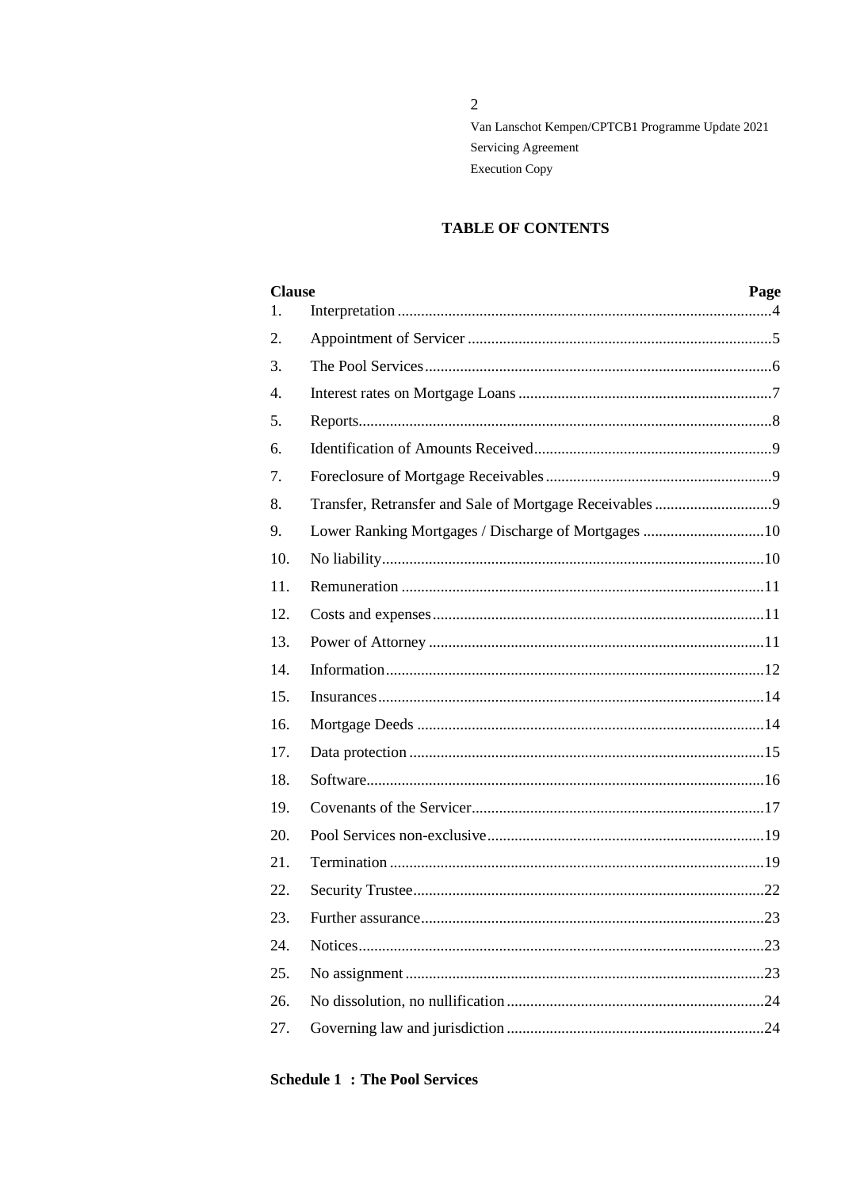$\sqrt{2}$ 

Van Lanschot Kempen/CPTCB1 Programme Update 2021 Servicing Agreement **Execution Copy** 

# **TABLE OF CONTENTS**

| <b>Clause</b> |                                                     | Page |
|---------------|-----------------------------------------------------|------|
| 1.            |                                                     |      |
| 2.            |                                                     |      |
| 3.            |                                                     |      |
| 4.            |                                                     |      |
| 5.            |                                                     |      |
| 6.            |                                                     |      |
| 7.            |                                                     |      |
| 8.            |                                                     |      |
| 9.            | Lower Ranking Mortgages / Discharge of Mortgages 10 |      |
| 10.           |                                                     |      |
| 11.           |                                                     |      |
| 12.           |                                                     |      |
| 13.           |                                                     |      |
| 14.           |                                                     |      |
| 15.           |                                                     |      |
| 16.           |                                                     |      |
| 17.           |                                                     |      |
| 18.           |                                                     |      |
| 19.           |                                                     |      |
| 20.           |                                                     |      |
| 21.           |                                                     |      |
| 22.           |                                                     |      |
| 23.           |                                                     |      |
| 24.           |                                                     |      |
| 25.           |                                                     |      |
| 26.           |                                                     |      |
| 27.           |                                                     |      |

# **Schedule 1: The Pool Services**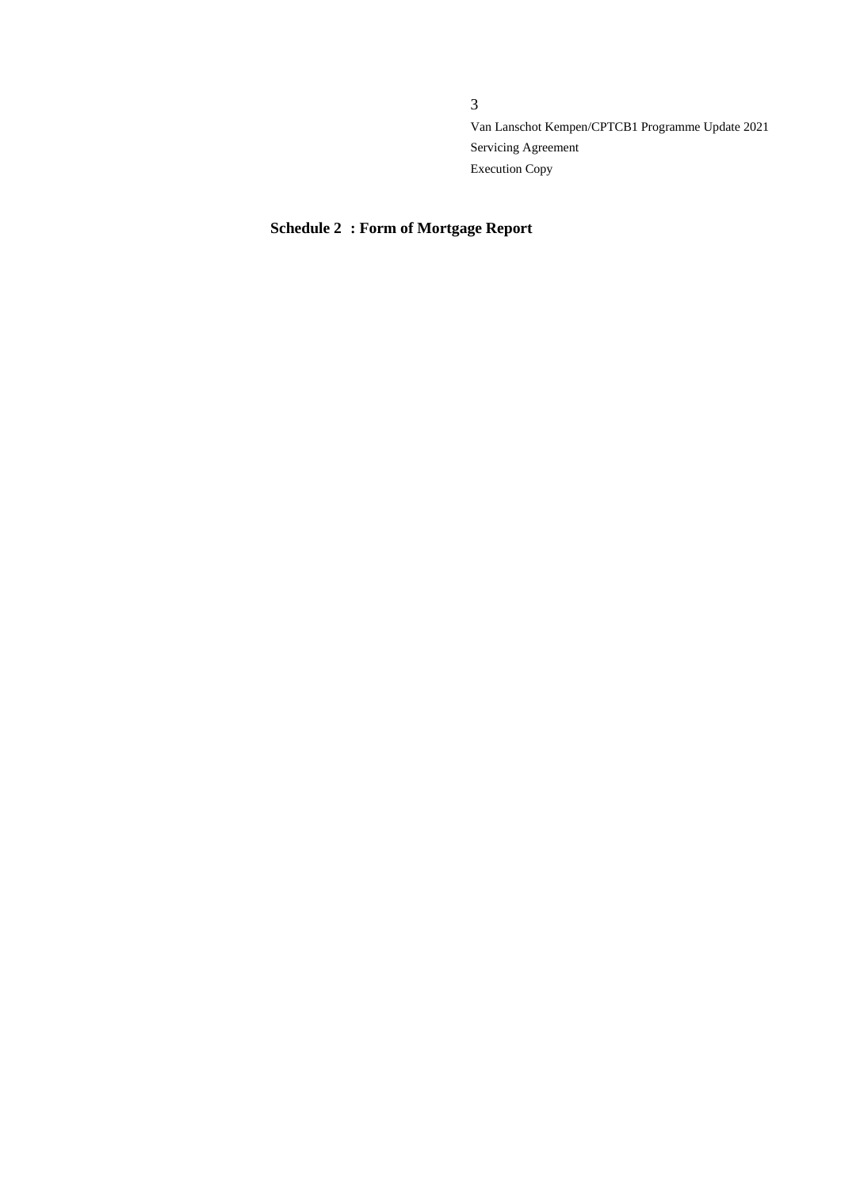# **Schedule 2 : Form of Mortgage Report**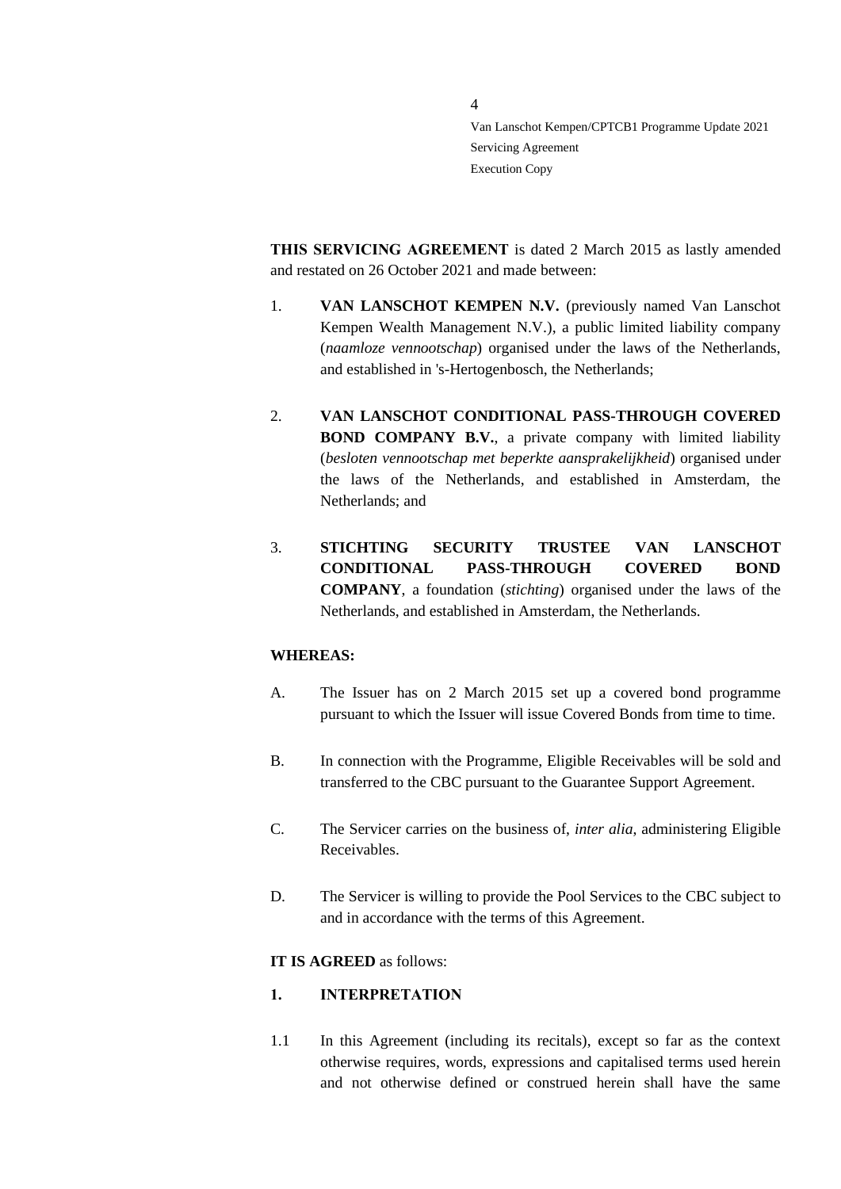**THIS SERVICING AGREEMENT** is dated 2 March 2015 as lastly amended and restated on 26 October 2021 and made between:

4

- 1. **VAN LANSCHOT KEMPEN N.V.** (previously named Van Lanschot Kempen Wealth Management N.V.), a public limited liability company (*naamloze vennootschap*) organised under the laws of the Netherlands, and established in 's-Hertogenbosch, the Netherlands;
- 2. **VAN LANSCHOT CONDITIONAL PASS-THROUGH COVERED BOND COMPANY B.V.**, a private company with limited liability (*besloten vennootschap met beperkte aansprakelijkheid*) organised under the laws of the Netherlands, and established in Amsterdam, the Netherlands; and
- 3. **STICHTING SECURITY TRUSTEE VAN LANSCHOT CONDITIONAL PASS-THROUGH COVERED BOND COMPANY**, a foundation (*stichting*) organised under the laws of the Netherlands, and established in Amsterdam, the Netherlands.

### **WHEREAS:**

- A. The Issuer has on 2 March 2015 set up a covered bond programme pursuant to which the Issuer will issue Covered Bonds from time to time.
- B. In connection with the Programme, Eligible Receivables will be sold and transferred to the CBC pursuant to the Guarantee Support Agreement.
- C. The Servicer carries on the business of, *inter alia*, administering Eligible Receivables.
- D. The Servicer is willing to provide the Pool Services to the CBC subject to and in accordance with the terms of this Agreement.

#### **IT IS AGREED** as follows:

### <span id="page-3-0"></span>**1. INTERPRETATION**

1.1 In this Agreement (including its recitals), except so far as the context otherwise requires, words, expressions and capitalised terms used herein and not otherwise defined or construed herein shall have the same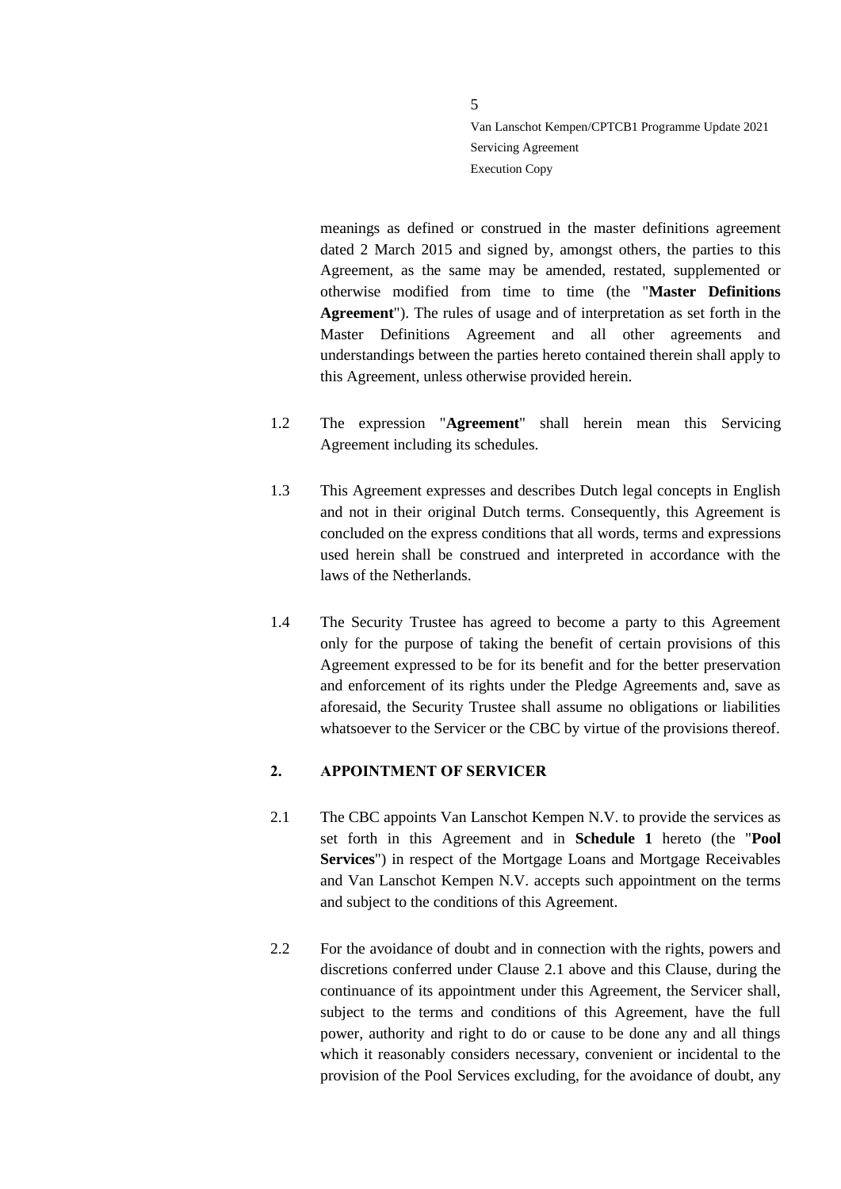meanings as defined or construed in the master definitions agreement dated 2 March 2015 and signed by, amongst others, the parties to this Agreement, as the same may be amended, restated, supplemented or otherwise modified from time to time (the "**Master Definitions Agreement**"). The rules of usage and of interpretation as set forth in the Master Definitions Agreement and all other agreements and understandings between the parties hereto contained therein shall apply to this Agreement, unless otherwise provided herein.

- 1.2 The expression "**Agreement**" shall herein mean this Servicing Agreement including its schedules.
- 1.3 This Agreement expresses and describes Dutch legal concepts in English and not in their original Dutch terms. Consequently, this Agreement is concluded on the express conditions that all words, terms and expressions used herein shall be construed and interpreted in accordance with the laws of the Netherlands.
- 1.4 The Security Trustee has agreed to become a party to this Agreement only for the purpose of taking the benefit of certain provisions of this Agreement expressed to be for its benefit and for the better preservation and enforcement of its rights under the Pledge Agreements and, save as aforesaid, the Security Trustee shall assume no obligations or liabilities whatsoever to the Servicer or the CBC by virtue of the provisions thereof.

### <span id="page-4-0"></span>**2. APPOINTMENT OF SERVICER**

- <span id="page-4-1"></span>2.1 The CBC appoints Van Lanschot Kempen N.V. to provide the services as set forth in this Agreement and in **Schedule 1** hereto (the "**Pool Services**") in respect of the Mortgage Loans and Mortgage Receivables and Van Lanschot Kempen N.V. accepts such appointment on the terms and subject to the conditions of this Agreement.
- 2.2 For the avoidance of doubt and in connection with the rights, powers and discretions conferred under Clause [2.1](#page-4-1) above and this Clause, during the continuance of its appointment under this Agreement, the Servicer shall, subject to the terms and conditions of this Agreement, have the full power, authority and right to do or cause to be done any and all things which it reasonably considers necessary, convenient or incidental to the provision of the Pool Services excluding, for the avoidance of doubt, any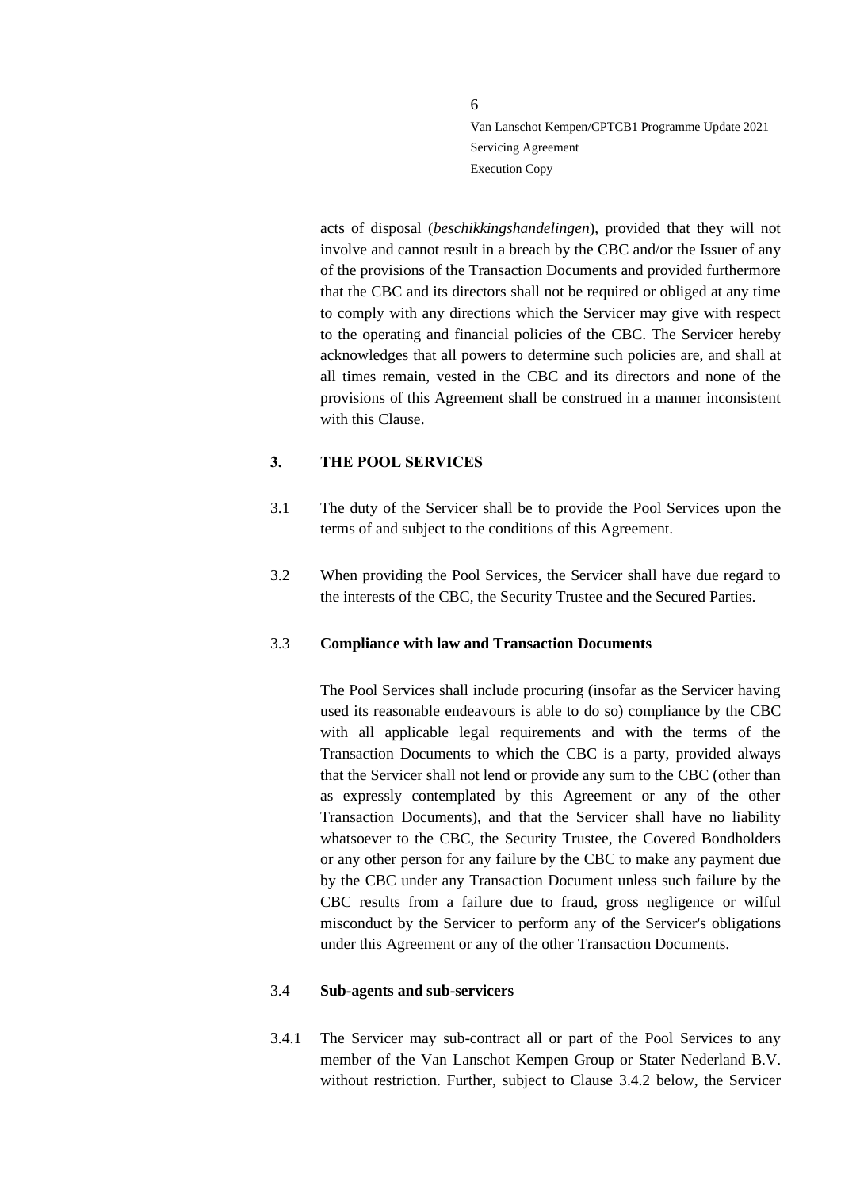acts of disposal (*beschikkingshandelingen*), provided that they will not involve and cannot result in a breach by the CBC and/or the Issuer of any of the provisions of the Transaction Documents and provided furthermore that the CBC and its directors shall not be required or obliged at any time to comply with any directions which the Servicer may give with respect to the operating and financial policies of the CBC. The Servicer hereby acknowledges that all powers to determine such policies are, and shall at all times remain, vested in the CBC and its directors and none of the provisions of this Agreement shall be construed in a manner inconsistent with this Clause.

### <span id="page-5-0"></span>**3. THE POOL SERVICES**

- 3.1 The duty of the Servicer shall be to provide the Pool Services upon the terms of and subject to the conditions of this Agreement.
- 3.2 When providing the Pool Services, the Servicer shall have due regard to the interests of the CBC, the Security Trustee and the Secured Parties.

### <span id="page-5-1"></span>3.3 **Compliance with law and Transaction Documents**

The Pool Services shall include procuring (insofar as the Servicer having used its reasonable endeavours is able to do so) compliance by the CBC with all applicable legal requirements and with the terms of the Transaction Documents to which the CBC is a party, provided always that the Servicer shall not lend or provide any sum to the CBC (other than as expressly contemplated by this Agreement or any of the other Transaction Documents), and that the Servicer shall have no liability whatsoever to the CBC, the Security Trustee, the Covered Bondholders or any other person for any failure by the CBC to make any payment due by the CBC under any Transaction Document unless such failure by the CBC results from a failure due to fraud, gross negligence or wilful misconduct by the Servicer to perform any of the Servicer's obligations under this Agreement or any of the other Transaction Documents.

#### <span id="page-5-2"></span>3.4 **Sub-agents and sub-servicers**

3.4.1 The Servicer may sub-contract all or part of the Pool Services to any member of the Van Lanschot Kempen Group or Stater Nederland B.V. without restriction. Further, subject to Clause [3.4.2](#page-6-1) below, the Servicer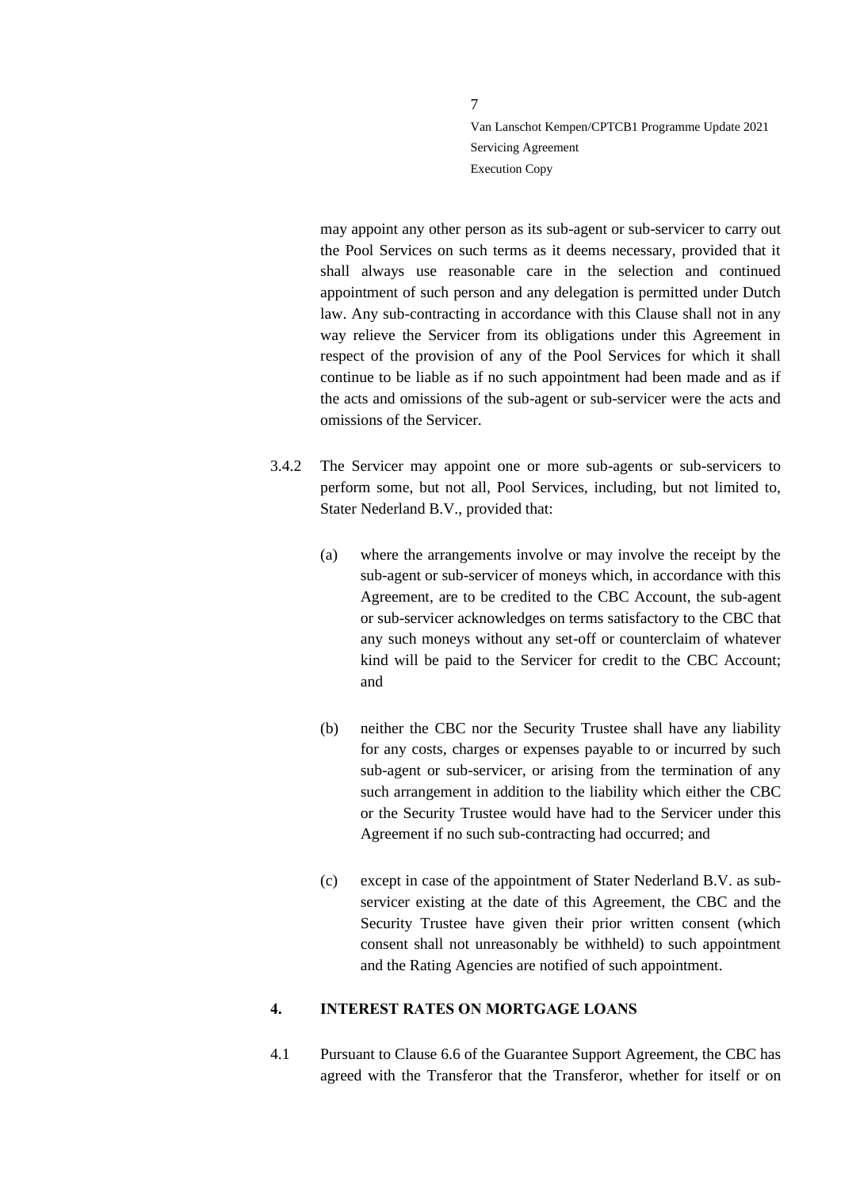may appoint any other person as its sub-agent or sub-servicer to carry out the Pool Services on such terms as it deems necessary, provided that it shall always use reasonable care in the selection and continued appointment of such person and any delegation is permitted under Dutch law. Any sub-contracting in accordance with this Clause shall not in any way relieve the Servicer from its obligations under this Agreement in respect of the provision of any of the Pool Services for which it shall continue to be liable as if no such appointment had been made and as if the acts and omissions of the sub-agent or sub-servicer were the acts and omissions of the Servicer.

- <span id="page-6-1"></span>3.4.2 The Servicer may appoint one or more sub-agents or sub-servicers to perform some, but not all, Pool Services, including, but not limited to, Stater Nederland B.V., provided that:
	- (a) where the arrangements involve or may involve the receipt by the sub-agent or sub-servicer of moneys which, in accordance with this Agreement, are to be credited to the CBC Account, the sub-agent or sub-servicer acknowledges on terms satisfactory to the CBC that any such moneys without any set-off or counterclaim of whatever kind will be paid to the Servicer for credit to the CBC Account; and
	- (b) neither the CBC nor the Security Trustee shall have any liability for any costs, charges or expenses payable to or incurred by such sub-agent or sub-servicer, or arising from the termination of any such arrangement in addition to the liability which either the CBC or the Security Trustee would have had to the Servicer under this Agreement if no such sub-contracting had occurred; and
	- (c) except in case of the appointment of Stater Nederland B.V. as subservicer existing at the date of this Agreement, the CBC and the Security Trustee have given their prior written consent (which consent shall not unreasonably be withheld) to such appointment and the Rating Agencies are notified of such appointment.

### <span id="page-6-0"></span>**4. INTEREST RATES ON MORTGAGE LOANS**

4.1 Pursuant to Clause 6.6 of the Guarantee Support Agreement, the CBC has agreed with the Transferor that the Transferor, whether for itself or on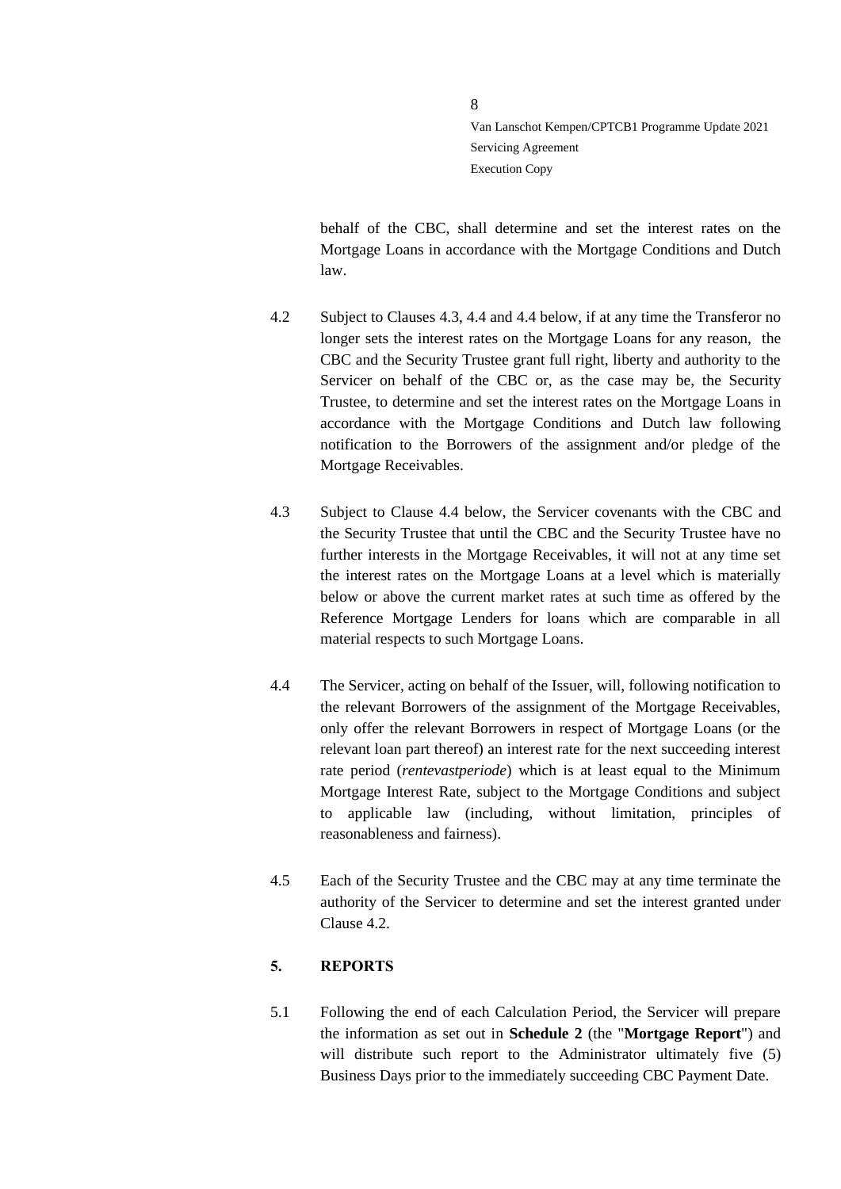behalf of the CBC, shall determine and set the interest rates on the Mortgage Loans in accordance with the Mortgage Conditions and Dutch law.

- <span id="page-7-3"></span>4.2 Subject to Clauses [4.3,](#page-7-1) [4.4](#page-7-2) an[d 4.4](#page-7-2) below, if at any time the Transferor no longer sets the interest rates on the Mortgage Loans for any reason, the CBC and the Security Trustee grant full right, liberty and authority to the Servicer on behalf of the CBC or, as the case may be, the Security Trustee, to determine and set the interest rates on the Mortgage Loans in accordance with the Mortgage Conditions and Dutch law following notification to the Borrowers of the assignment and/or pledge of the Mortgage Receivables.
- <span id="page-7-1"></span>4.3 Subject to Clause [4.4](#page-7-2) below, the Servicer covenants with the CBC and the Security Trustee that until the CBC and the Security Trustee have no further interests in the Mortgage Receivables, it will not at any time set the interest rates on the Mortgage Loans at a level which is materially below or above the current market rates at such time as offered by the Reference Mortgage Lenders for loans which are comparable in all material respects to such Mortgage Loans.
- <span id="page-7-2"></span>4.4 The Servicer, acting on behalf of the Issuer, will, following notification to the relevant Borrowers of the assignment of the Mortgage Receivables, only offer the relevant Borrowers in respect of Mortgage Loans (or the relevant loan part thereof) an interest rate for the next succeeding interest rate period (*rentevastperiode*) which is at least equal to the Minimum Mortgage Interest Rate, subject to the Mortgage Conditions and subject to applicable law (including, without limitation, principles of reasonableness and fairness).
- 4.5 Each of the Security Trustee and the CBC may at any time terminate the authority of the Servicer to determine and set the interest granted under Clause [4.2.](#page-7-3)

# <span id="page-7-0"></span>**5. REPORTS**

5.1 Following the end of each Calculation Period, the Servicer will prepare the information as set out in **Schedule 2** (the "**Mortgage Report**") and will distribute such report to the Administrator ultimately five (5) Business Days prior to the immediately succeeding CBC Payment Date.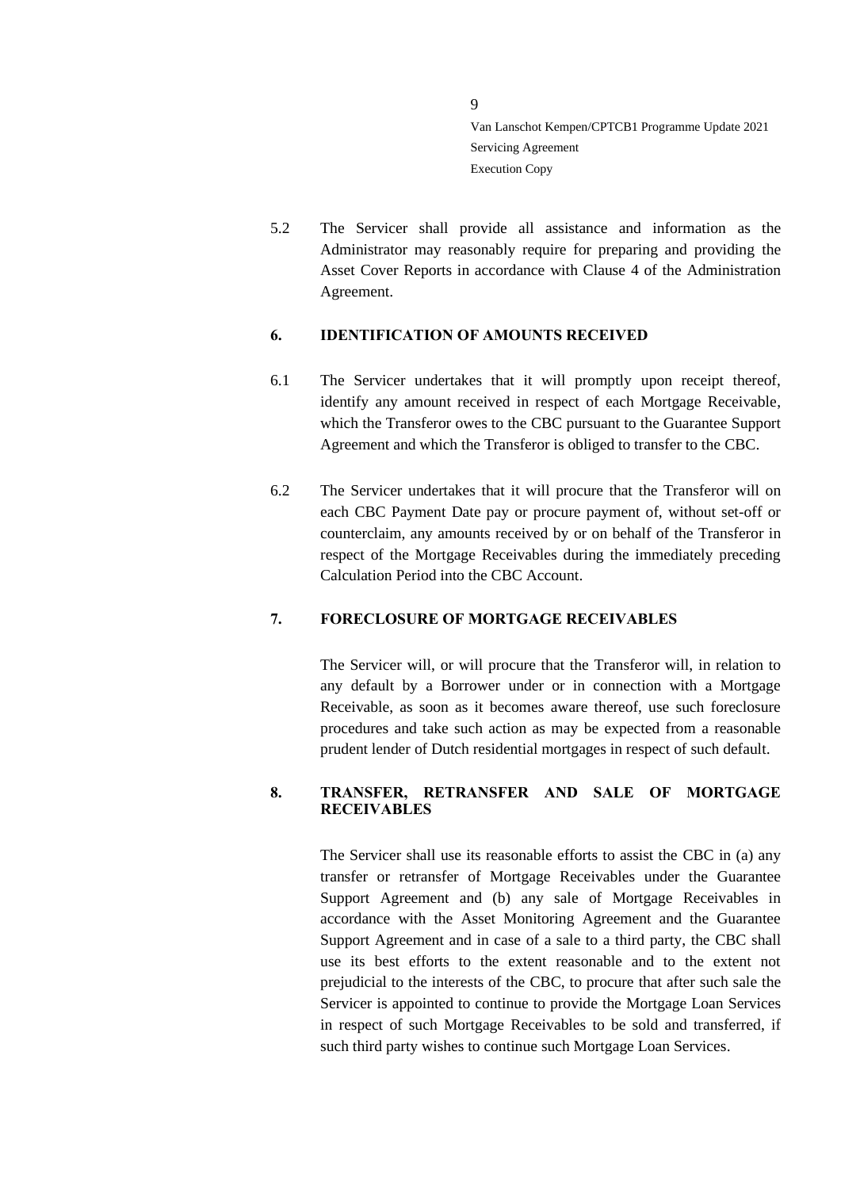5.2 The Servicer shall provide all assistance and information as the Administrator may reasonably require for preparing and providing the Asset Cover Reports in accordance with Clause 4 of the Administration Agreement.

### <span id="page-8-0"></span>**6. IDENTIFICATION OF AMOUNTS RECEIVED**

- 6.1 The Servicer undertakes that it will promptly upon receipt thereof, identify any amount received in respect of each Mortgage Receivable, which the Transferor owes to the CBC pursuant to the Guarantee Support Agreement and which the Transferor is obliged to transfer to the CBC.
- 6.2 The Servicer undertakes that it will procure that the Transferor will on each CBC Payment Date pay or procure payment of, without set-off or counterclaim, any amounts received by or on behalf of the Transferor in respect of the Mortgage Receivables during the immediately preceding Calculation Period into the CBC Account.

# <span id="page-8-1"></span>**7. FORECLOSURE OF MORTGAGE RECEIVABLES**

The Servicer will, or will procure that the Transferor will, in relation to any default by a Borrower under or in connection with a Mortgage Receivable, as soon as it becomes aware thereof, use such foreclosure procedures and take such action as may be expected from a reasonable prudent lender of Dutch residential mortgages in respect of such default.

### <span id="page-8-2"></span>**8. TRANSFER, RETRANSFER AND SALE OF MORTGAGE RECEIVABLES**

The Servicer shall use its reasonable efforts to assist the CBC in (a) any transfer or retransfer of Mortgage Receivables under the Guarantee Support Agreement and (b) any sale of Mortgage Receivables in accordance with the Asset Monitoring Agreement and the Guarantee Support Agreement and in case of a sale to a third party, the CBC shall use its best efforts to the extent reasonable and to the extent not prejudicial to the interests of the CBC, to procure that after such sale the Servicer is appointed to continue to provide the Mortgage Loan Services in respect of such Mortgage Receivables to be sold and transferred, if such third party wishes to continue such Mortgage Loan Services.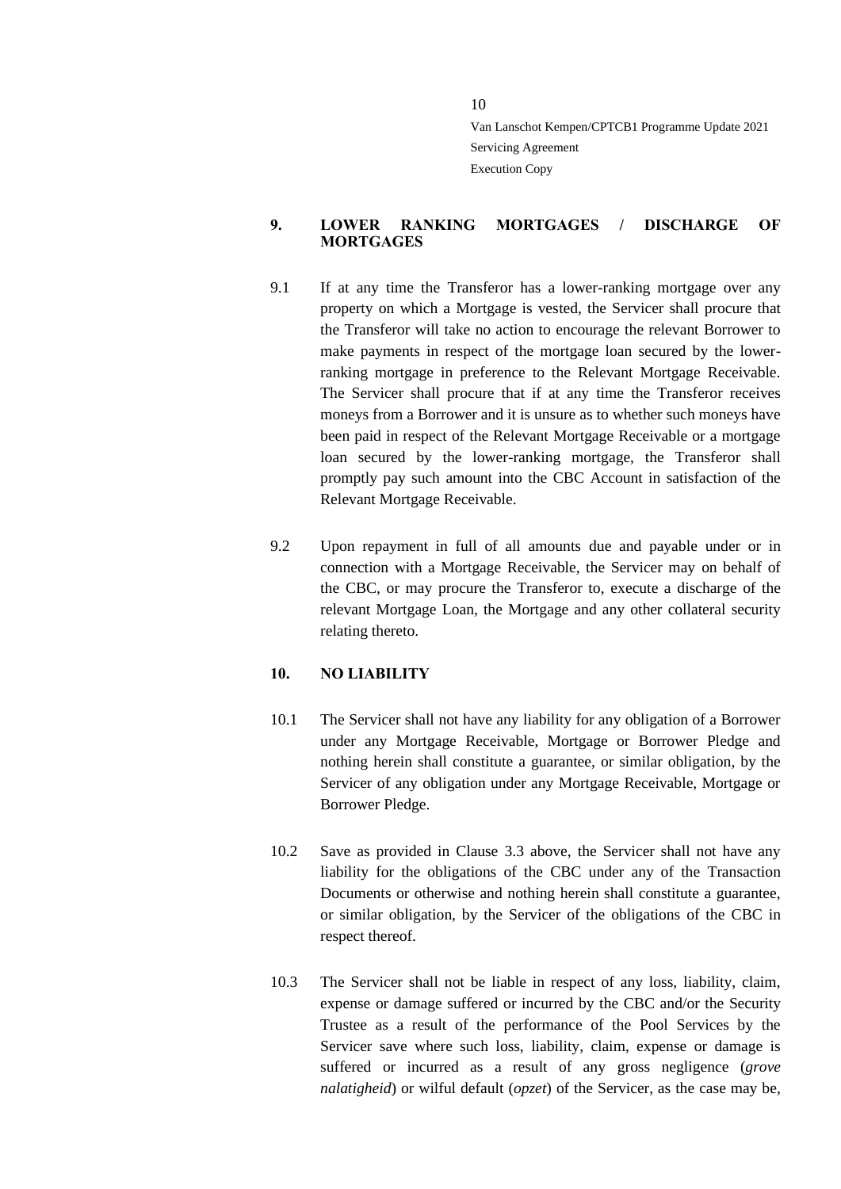### <span id="page-9-0"></span>**9. LOWER RANKING MORTGAGES / DISCHARGE OF MORTGAGES**

- 9.1 If at any time the Transferor has a lower-ranking mortgage over any property on which a Mortgage is vested, the Servicer shall procure that the Transferor will take no action to encourage the relevant Borrower to make payments in respect of the mortgage loan secured by the lowerranking mortgage in preference to the Relevant Mortgage Receivable. The Servicer shall procure that if at any time the Transferor receives moneys from a Borrower and it is unsure as to whether such moneys have been paid in respect of the Relevant Mortgage Receivable or a mortgage loan secured by the lower-ranking mortgage, the Transferor shall promptly pay such amount into the CBC Account in satisfaction of the Relevant Mortgage Receivable.
- 9.2 Upon repayment in full of all amounts due and payable under or in connection with a Mortgage Receivable, the Servicer may on behalf of the CBC, or may procure the Transferor to, execute a discharge of the relevant Mortgage Loan, the Mortgage and any other collateral security relating thereto.

### <span id="page-9-1"></span>**10. NO LIABILITY**

- 10.1 The Servicer shall not have any liability for any obligation of a Borrower under any Mortgage Receivable, Mortgage or Borrower Pledge and nothing herein shall constitute a guarantee, or similar obligation, by the Servicer of any obligation under any Mortgage Receivable, Mortgage or Borrower Pledge.
- 10.2 Save as provided in Clause [3.3](#page-5-1) above, the Servicer shall not have any liability for the obligations of the CBC under any of the Transaction Documents or otherwise and nothing herein shall constitute a guarantee, or similar obligation, by the Servicer of the obligations of the CBC in respect thereof.
- 10.3 The Servicer shall not be liable in respect of any loss, liability, claim, expense or damage suffered or incurred by the CBC and/or the Security Trustee as a result of the performance of the Pool Services by the Servicer save where such loss, liability, claim, expense or damage is suffered or incurred as a result of any gross negligence (*grove nalatigheid*) or wilful default (*opzet*) of the Servicer, as the case may be,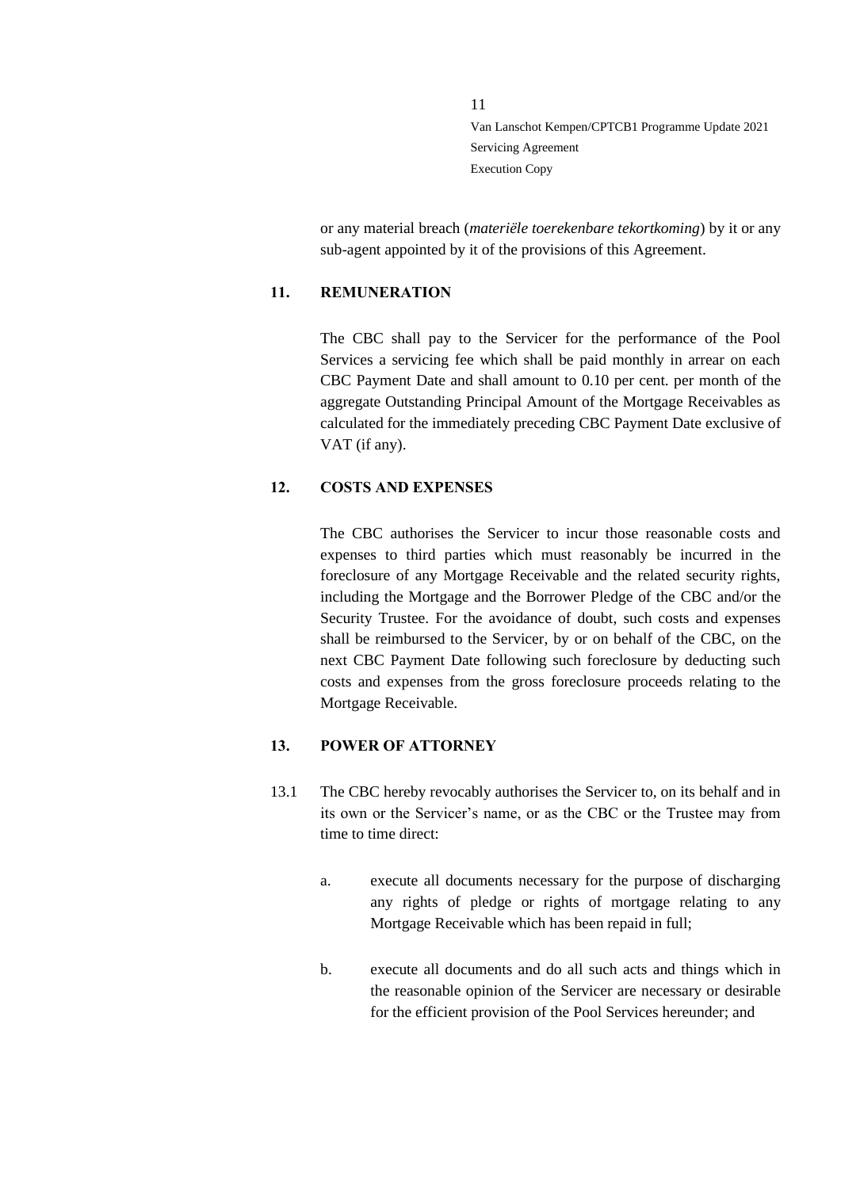or any material breach (*materiële toerekenbare tekortkoming*) by it or any sub-agent appointed by it of the provisions of this Agreement.

### <span id="page-10-0"></span>**11. REMUNERATION**

The CBC shall pay to the Servicer for the performance of the Pool Services a servicing fee which shall be paid monthly in arrear on each CBC Payment Date and shall amount to 0.10 per cent. per month of the aggregate Outstanding Principal Amount of the Mortgage Receivables as calculated for the immediately preceding CBC Payment Date exclusive of VAT (if any).

### <span id="page-10-1"></span>**12. COSTS AND EXPENSES**

The CBC authorises the Servicer to incur those reasonable costs and expenses to third parties which must reasonably be incurred in the foreclosure of any Mortgage Receivable and the related security rights, including the Mortgage and the Borrower Pledge of the CBC and/or the Security Trustee. For the avoidance of doubt, such costs and expenses shall be reimbursed to the Servicer, by or on behalf of the CBC, on the next CBC Payment Date following such foreclosure by deducting such costs and expenses from the gross foreclosure proceeds relating to the Mortgage Receivable.

### <span id="page-10-2"></span>**13. POWER OF ATTORNEY**

- <span id="page-10-3"></span>13.1 The CBC hereby revocably authorises the Servicer to, on its behalf and in its own or the Servicer's name, or as the CBC or the Trustee may from time to time direct:
	- a. execute all documents necessary for the purpose of discharging any rights of pledge or rights of mortgage relating to any Mortgage Receivable which has been repaid in full;
	- b. execute all documents and do all such acts and things which in the reasonable opinion of the Servicer are necessary or desirable for the efficient provision of the Pool Services hereunder; and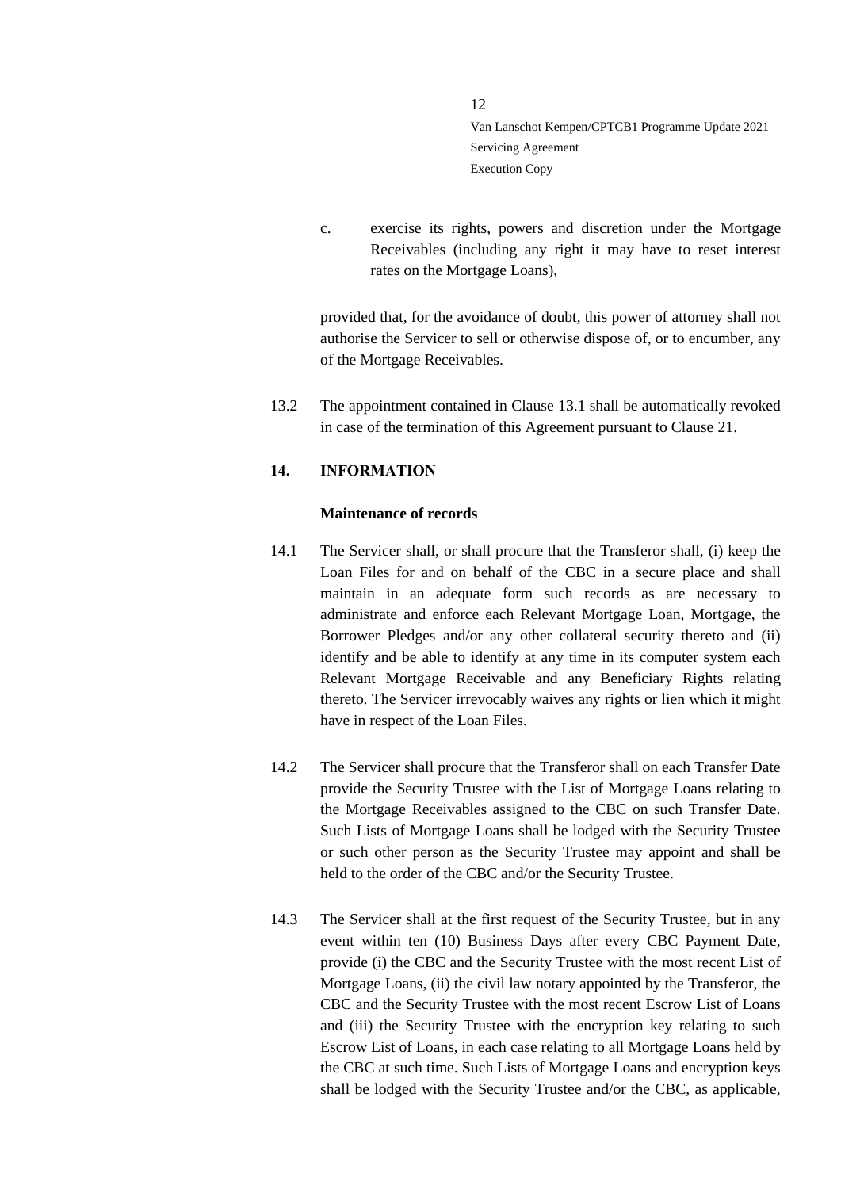c. exercise its rights, powers and discretion under the Mortgage Receivables (including any right it may have to reset interest rates on the Mortgage Loans),

provided that, for the avoidance of doubt, this power of attorney shall not authorise the Servicer to sell or otherwise dispose of, or to encumber, any of the Mortgage Receivables.

13.2 The appointment contained in Clause [13.1](#page-10-3) shall be automatically revoked in case of the termination of this Agreement pursuant to Clause [21.](#page-18-1)

### <span id="page-11-0"></span>**14. INFORMATION**

### **Maintenance of records**

- 14.1 The Servicer shall, or shall procure that the Transferor shall, (i) keep the Loan Files for and on behalf of the CBC in a secure place and shall maintain in an adequate form such records as are necessary to administrate and enforce each Relevant Mortgage Loan, Mortgage, the Borrower Pledges and/or any other collateral security thereto and (ii) identify and be able to identify at any time in its computer system each Relevant Mortgage Receivable and any Beneficiary Rights relating thereto. The Servicer irrevocably waives any rights or lien which it might have in respect of the Loan Files.
- 14.2 The Servicer shall procure that the Transferor shall on each Transfer Date provide the Security Trustee with the List of Mortgage Loans relating to the Mortgage Receivables assigned to the CBC on such Transfer Date. Such Lists of Mortgage Loans shall be lodged with the Security Trustee or such other person as the Security Trustee may appoint and shall be held to the order of the CBC and/or the Security Trustee.
- 14.3 The Servicer shall at the first request of the Security Trustee, but in any event within ten (10) Business Days after every CBC Payment Date, provide (i) the CBC and the Security Trustee with the most recent List of Mortgage Loans, (ii) the civil law notary appointed by the Transferor, the CBC and the Security Trustee with the most recent Escrow List of Loans and (iii) the Security Trustee with the encryption key relating to such Escrow List of Loans, in each case relating to all Mortgage Loans held by the CBC at such time. Such Lists of Mortgage Loans and encryption keys shall be lodged with the Security Trustee and/or the CBC, as applicable,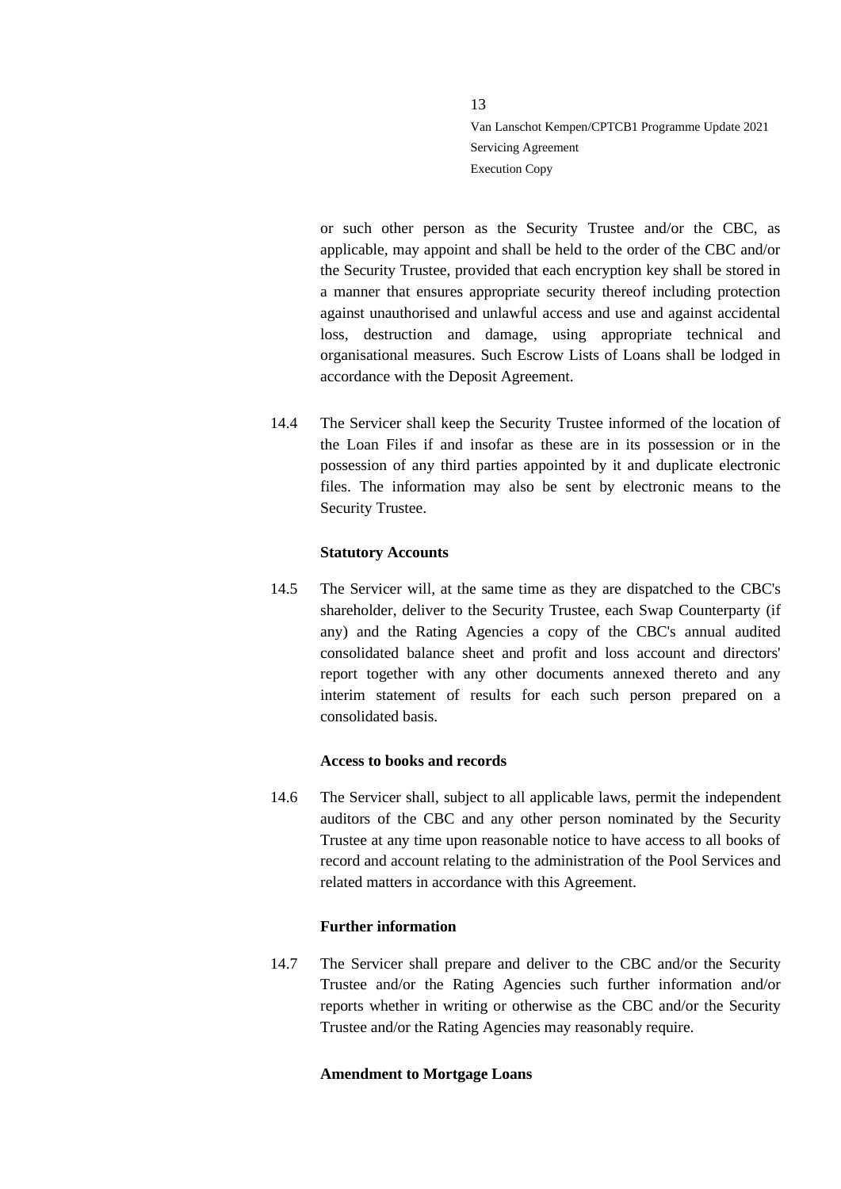or such other person as the Security Trustee and/or the CBC, as applicable, may appoint and shall be held to the order of the CBC and/or the Security Trustee, provided that each encryption key shall be stored in a manner that ensures appropriate security thereof including protection against unauthorised and unlawful access and use and against accidental loss, destruction and damage, using appropriate technical and organisational measures. Such Escrow Lists of Loans shall be lodged in accordance with the Deposit Agreement.

14.4 The Servicer shall keep the Security Trustee informed of the location of the Loan Files if and insofar as these are in its possession or in the possession of any third parties appointed by it and duplicate electronic files. The information may also be sent by electronic means to the Security Trustee.

### **Statutory Accounts**

14.5 The Servicer will, at the same time as they are dispatched to the CBC's shareholder, deliver to the Security Trustee, each Swap Counterparty (if any) and the Rating Agencies a copy of the CBC's annual audited consolidated balance sheet and profit and loss account and directors' report together with any other documents annexed thereto and any interim statement of results for each such person prepared on a consolidated basis.

#### **Access to books and records**

14.6 The Servicer shall, subject to all applicable laws, permit the independent auditors of the CBC and any other person nominated by the Security Trustee at any time upon reasonable notice to have access to all books of record and account relating to the administration of the Pool Services and related matters in accordance with this Agreement.

### **Further information**

14.7 The Servicer shall prepare and deliver to the CBC and/or the Security Trustee and/or the Rating Agencies such further information and/or reports whether in writing or otherwise as the CBC and/or the Security Trustee and/or the Rating Agencies may reasonably require.

#### **Amendment to Mortgage Loans**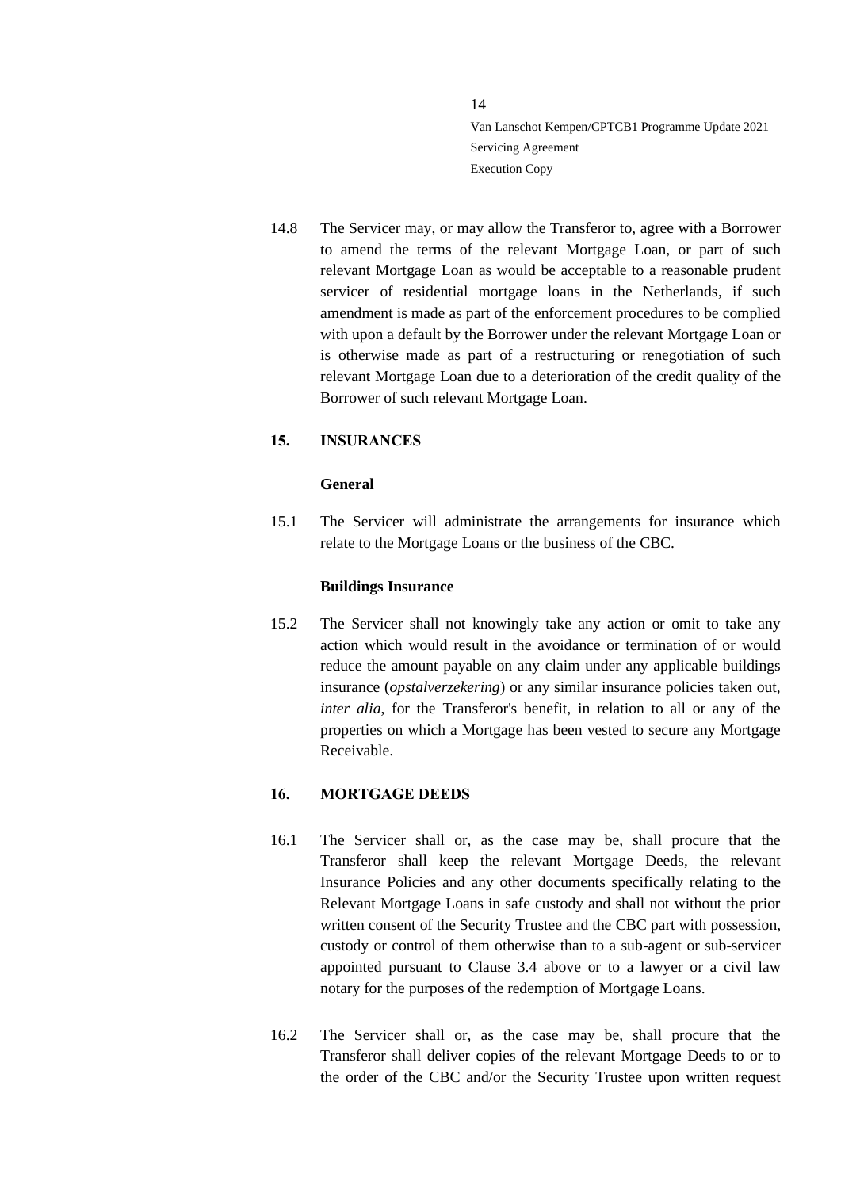14.8 The Servicer may, or may allow the Transferor to, agree with a Borrower to amend the terms of the relevant Mortgage Loan, or part of such relevant Mortgage Loan as would be acceptable to a reasonable prudent servicer of residential mortgage loans in the Netherlands, if such amendment is made as part of the enforcement procedures to be complied with upon a default by the Borrower under the relevant Mortgage Loan or is otherwise made as part of a restructuring or renegotiation of such relevant Mortgage Loan due to a deterioration of the credit quality of the Borrower of such relevant Mortgage Loan.

### <span id="page-13-0"></span>**15. INSURANCES**

### **General**

15.1 The Servicer will administrate the arrangements for insurance which relate to the Mortgage Loans or the business of the CBC.

#### **Buildings Insurance**

15.2 The Servicer shall not knowingly take any action or omit to take any action which would result in the avoidance or termination of or would reduce the amount payable on any claim under any applicable buildings insurance (*opstalverzekering*) or any similar insurance policies taken out, *inter alia*, for the Transferor's benefit, in relation to all or any of the properties on which a Mortgage has been vested to secure any Mortgage Receivable.

### <span id="page-13-1"></span>**16. MORTGAGE DEEDS**

- 16.1 The Servicer shall or, as the case may be, shall procure that the Transferor shall keep the relevant Mortgage Deeds, the relevant Insurance Policies and any other documents specifically relating to the Relevant Mortgage Loans in safe custody and shall not without the prior written consent of the Security Trustee and the CBC part with possession, custody or control of them otherwise than to a sub-agent or sub-servicer appointed pursuant to Clause [3.4](#page-5-2) above or to a lawyer or a civil law notary for the purposes of the redemption of Mortgage Loans.
- 16.2 The Servicer shall or, as the case may be, shall procure that the Transferor shall deliver copies of the relevant Mortgage Deeds to or to the order of the CBC and/or the Security Trustee upon written request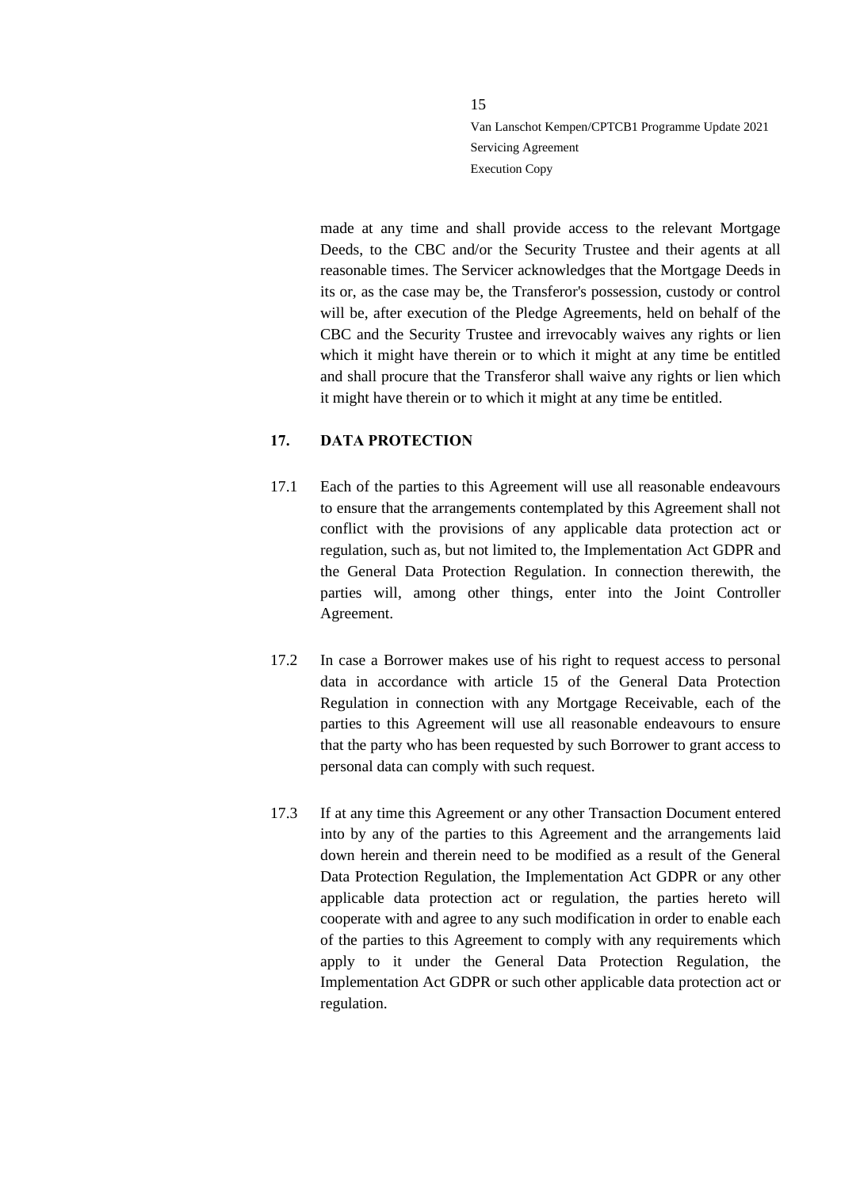made at any time and shall provide access to the relevant Mortgage Deeds, to the CBC and/or the Security Trustee and their agents at all reasonable times. The Servicer acknowledges that the Mortgage Deeds in its or, as the case may be, the Transferor's possession, custody or control will be, after execution of the Pledge Agreements, held on behalf of the CBC and the Security Trustee and irrevocably waives any rights or lien which it might have therein or to which it might at any time be entitled and shall procure that the Transferor shall waive any rights or lien which it might have therein or to which it might at any time be entitled.

# <span id="page-14-0"></span>**17. DATA PROTECTION**

- 17.1 Each of the parties to this Agreement will use all reasonable endeavours to ensure that the arrangements contemplated by this Agreement shall not conflict with the provisions of any applicable data protection act or regulation, such as, but not limited to, the Implementation Act GDPR and the General Data Protection Regulation. In connection therewith, the parties will, among other things, enter into the Joint Controller Agreement.
- 17.2 In case a Borrower makes use of his right to request access to personal data in accordance with article 15 of the General Data Protection Regulation in connection with any Mortgage Receivable, each of the parties to this Agreement will use all reasonable endeavours to ensure that the party who has been requested by such Borrower to grant access to personal data can comply with such request.
- 17.3 If at any time this Agreement or any other Transaction Document entered into by any of the parties to this Agreement and the arrangements laid down herein and therein need to be modified as a result of the General Data Protection Regulation, the Implementation Act GDPR or any other applicable data protection act or regulation, the parties hereto will cooperate with and agree to any such modification in order to enable each of the parties to this Agreement to comply with any requirements which apply to it under the General Data Protection Regulation, the Implementation Act GDPR or such other applicable data protection act or regulation.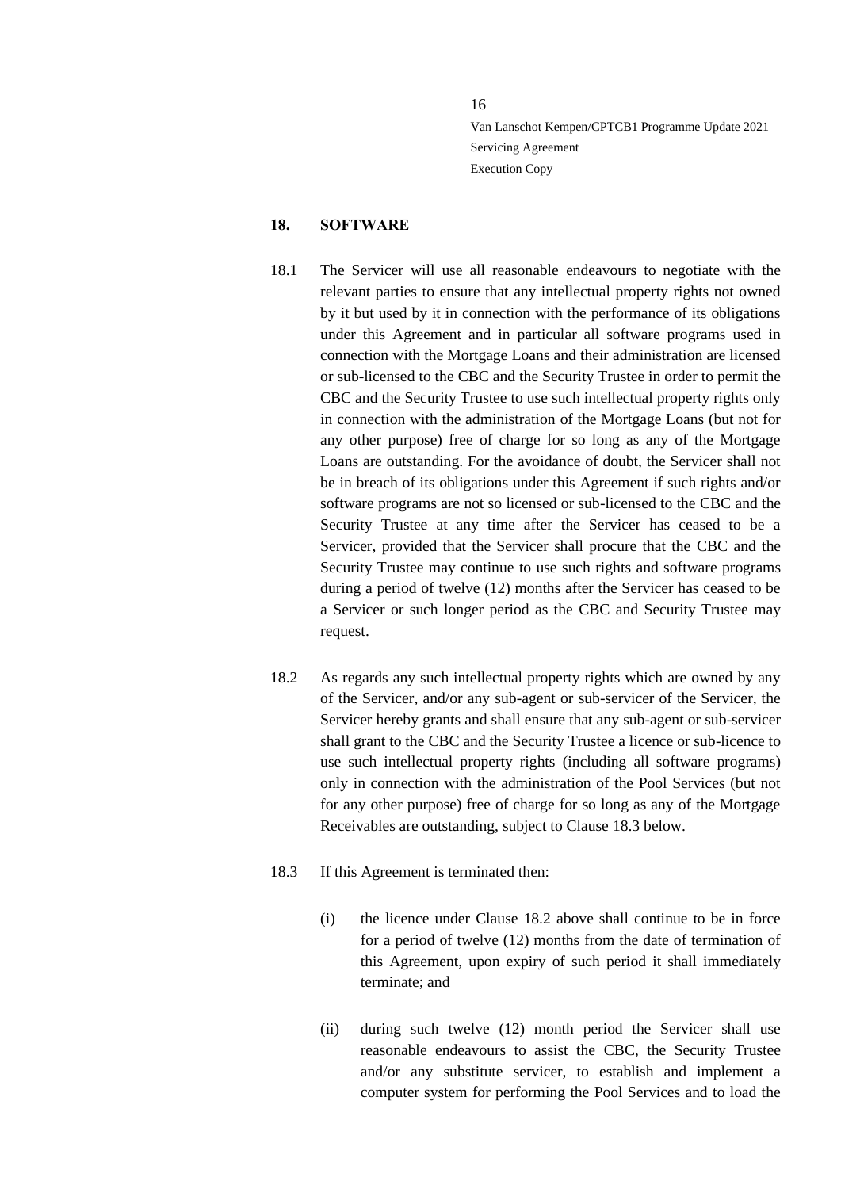#### <span id="page-15-0"></span>**18. SOFTWARE**

- 18.1 The Servicer will use all reasonable endeavours to negotiate with the relevant parties to ensure that any intellectual property rights not owned by it but used by it in connection with the performance of its obligations under this Agreement and in particular all software programs used in connection with the Mortgage Loans and their administration are licensed or sub-licensed to the CBC and the Security Trustee in order to permit the CBC and the Security Trustee to use such intellectual property rights only in connection with the administration of the Mortgage Loans (but not for any other purpose) free of charge for so long as any of the Mortgage Loans are outstanding. For the avoidance of doubt, the Servicer shall not be in breach of its obligations under this Agreement if such rights and/or software programs are not so licensed or sub-licensed to the CBC and the Security Trustee at any time after the Servicer has ceased to be a Servicer, provided that the Servicer shall procure that the CBC and the Security Trustee may continue to use such rights and software programs during a period of twelve (12) months after the Servicer has ceased to be a Servicer or such longer period as the CBC and Security Trustee may request.
- <span id="page-15-2"></span>18.2 As regards any such intellectual property rights which are owned by any of the Servicer, and/or any sub-agent or sub-servicer of the Servicer, the Servicer hereby grants and shall ensure that any sub-agent or sub-servicer shall grant to the CBC and the Security Trustee a licence or sub-licence to use such intellectual property rights (including all software programs) only in connection with the administration of the Pool Services (but not for any other purpose) free of charge for so long as any of the Mortgage Receivables are outstanding, subject to Claus[e 18.3](#page-15-1) below.
- <span id="page-15-1"></span>18.3 If this Agreement is terminated then:
	- (i) the licence under Clause [18.2](#page-15-2) above shall continue to be in force for a period of twelve (12) months from the date of termination of this Agreement, upon expiry of such period it shall immediately terminate; and
	- (ii) during such twelve (12) month period the Servicer shall use reasonable endeavours to assist the CBC, the Security Trustee and/or any substitute servicer, to establish and implement a computer system for performing the Pool Services and to load the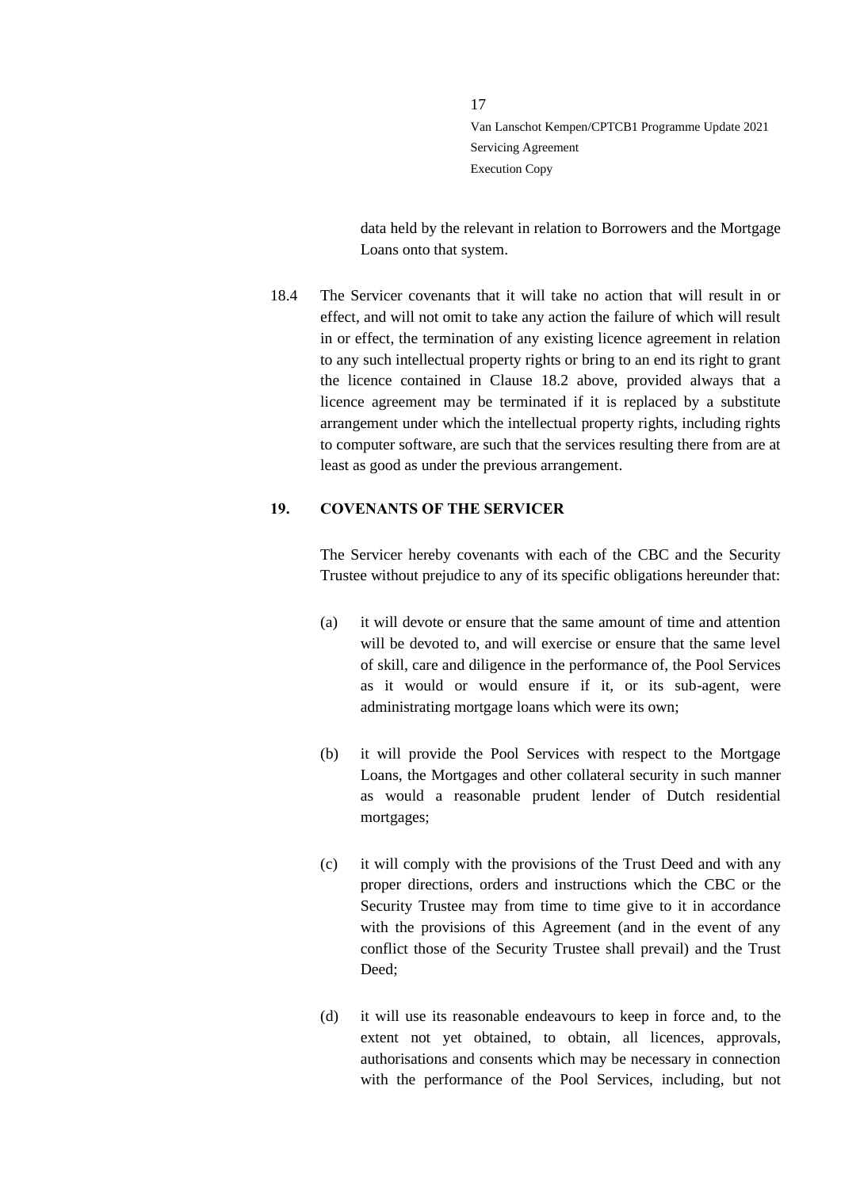data held by the relevant in relation to Borrowers and the Mortgage Loans onto that system.

18.4 The Servicer covenants that it will take no action that will result in or effect, and will not omit to take any action the failure of which will result in or effect, the termination of any existing licence agreement in relation to any such intellectual property rights or bring to an end its right to grant the licence contained in Clause [18.2](#page-15-2) above, provided always that a licence agreement may be terminated if it is replaced by a substitute arrangement under which the intellectual property rights, including rights to computer software, are such that the services resulting there from are at least as good as under the previous arrangement.

### <span id="page-16-0"></span>**19. COVENANTS OF THE SERVICER**

The Servicer hereby covenants with each of the CBC and the Security Trustee without prejudice to any of its specific obligations hereunder that:

- (a) it will devote or ensure that the same amount of time and attention will be devoted to, and will exercise or ensure that the same level of skill, care and diligence in the performance of, the Pool Services as it would or would ensure if it, or its sub-agent, were administrating mortgage loans which were its own;
- (b) it will provide the Pool Services with respect to the Mortgage Loans, the Mortgages and other collateral security in such manner as would a reasonable prudent lender of Dutch residential mortgages;
- (c) it will comply with the provisions of the Trust Deed and with any proper directions, orders and instructions which the CBC or the Security Trustee may from time to time give to it in accordance with the provisions of this Agreement (and in the event of any conflict those of the Security Trustee shall prevail) and the Trust Deed;
- (d) it will use its reasonable endeavours to keep in force and, to the extent not yet obtained, to obtain, all licences, approvals, authorisations and consents which may be necessary in connection with the performance of the Pool Services, including, but not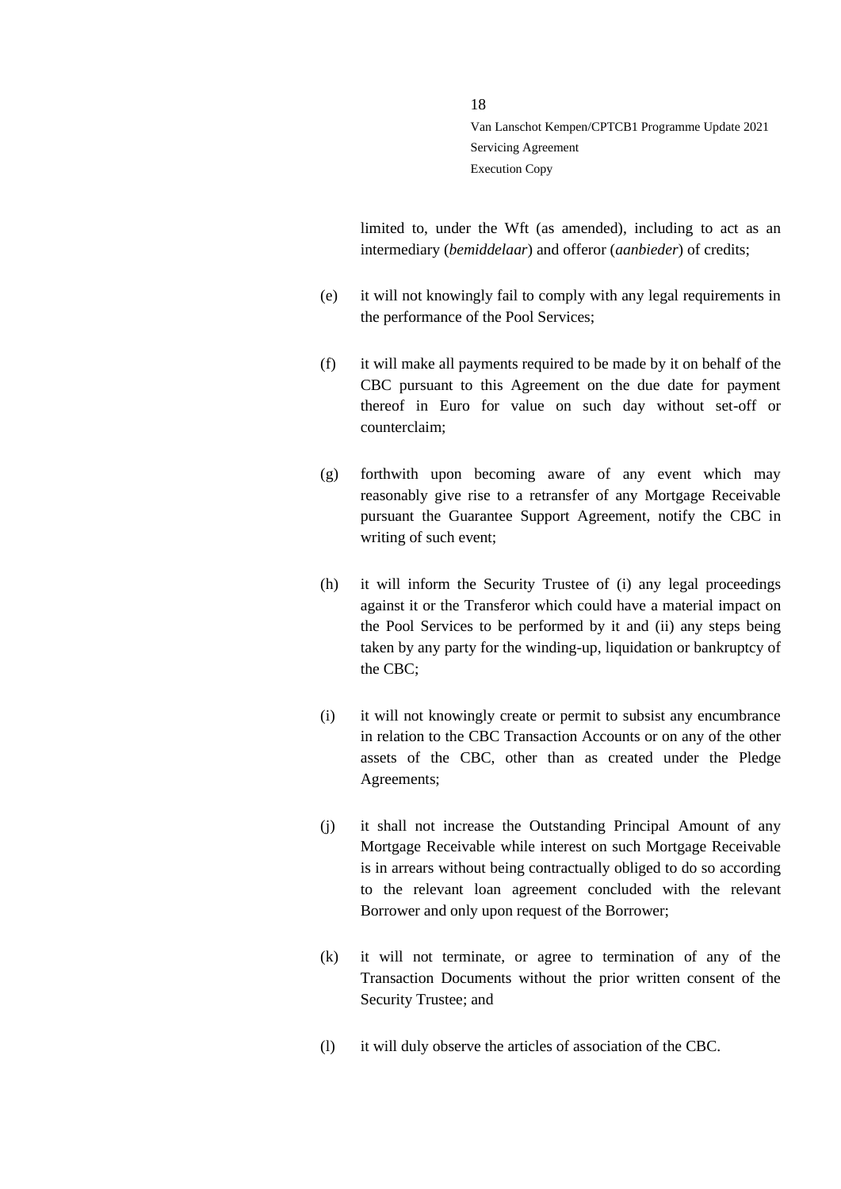limited to, under the Wft (as amended), including to act as an intermediary (*bemiddelaar*) and offeror (*aanbieder*) of credits;

- (e) it will not knowingly fail to comply with any legal requirements in the performance of the Pool Services;
- (f) it will make all payments required to be made by it on behalf of the CBC pursuant to this Agreement on the due date for payment thereof in Euro for value on such day without set-off or counterclaim;
- (g) forthwith upon becoming aware of any event which may reasonably give rise to a retransfer of any Mortgage Receivable pursuant the Guarantee Support Agreement, notify the CBC in writing of such event;
- (h) it will inform the Security Trustee of (i) any legal proceedings against it or the Transferor which could have a material impact on the Pool Services to be performed by it and (ii) any steps being taken by any party for the winding-up, liquidation or bankruptcy of the CBC;
- (i) it will not knowingly create or permit to subsist any encumbrance in relation to the CBC Transaction Accounts or on any of the other assets of the CBC, other than as created under the Pledge Agreements;
- (j) it shall not increase the Outstanding Principal Amount of any Mortgage Receivable while interest on such Mortgage Receivable is in arrears without being contractually obliged to do so according to the relevant loan agreement concluded with the relevant Borrower and only upon request of the Borrower;
- (k) it will not terminate, or agree to termination of any of the Transaction Documents without the prior written consent of the Security Trustee; and
- (l) it will duly observe the articles of association of the CBC.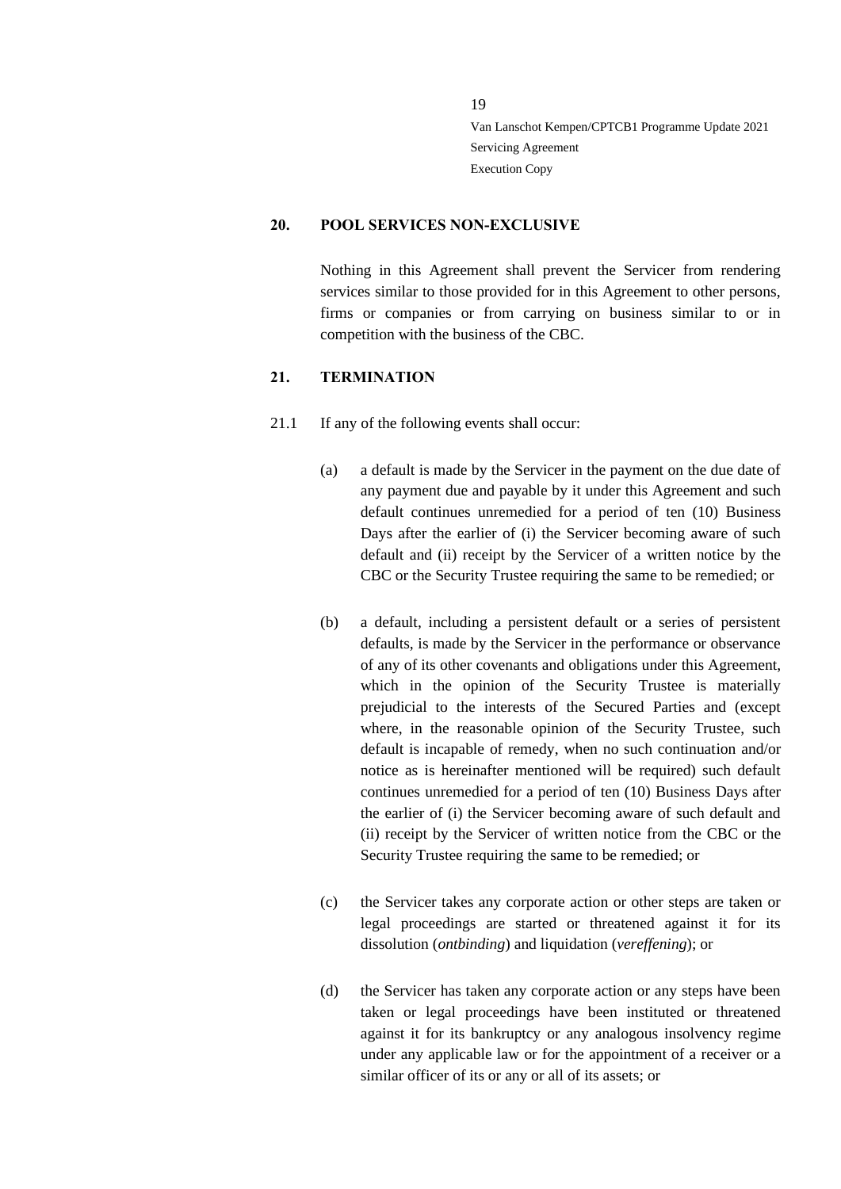#### <span id="page-18-0"></span>**20. POOL SERVICES NON-EXCLUSIVE**

Nothing in this Agreement shall prevent the Servicer from rendering services similar to those provided for in this Agreement to other persons, firms or companies or from carrying on business similar to or in competition with the business of the CBC.

### <span id="page-18-1"></span>**21. TERMINATION**

- <span id="page-18-2"></span>21.1 If any of the following events shall occur:
	- (a) a default is made by the Servicer in the payment on the due date of any payment due and payable by it under this Agreement and such default continues unremedied for a period of ten (10) Business Days after the earlier of (i) the Servicer becoming aware of such default and (ii) receipt by the Servicer of a written notice by the CBC or the Security Trustee requiring the same to be remedied; or
	- (b) a default, including a persistent default or a series of persistent defaults, is made by the Servicer in the performance or observance of any of its other covenants and obligations under this Agreement, which in the opinion of the Security Trustee is materially prejudicial to the interests of the Secured Parties and (except where, in the reasonable opinion of the Security Trustee, such default is incapable of remedy, when no such continuation and/or notice as is hereinafter mentioned will be required) such default continues unremedied for a period of ten (10) Business Days after the earlier of (i) the Servicer becoming aware of such default and (ii) receipt by the Servicer of written notice from the CBC or the Security Trustee requiring the same to be remedied; or
	- (c) the Servicer takes any corporate action or other steps are taken or legal proceedings are started or threatened against it for its dissolution (*ontbinding*) and liquidation (*vereffening*); or
	- (d) the Servicer has taken any corporate action or any steps have been taken or legal proceedings have been instituted or threatened against it for its bankruptcy or any analogous insolvency regime under any applicable law or for the appointment of a receiver or a similar officer of its or any or all of its assets; or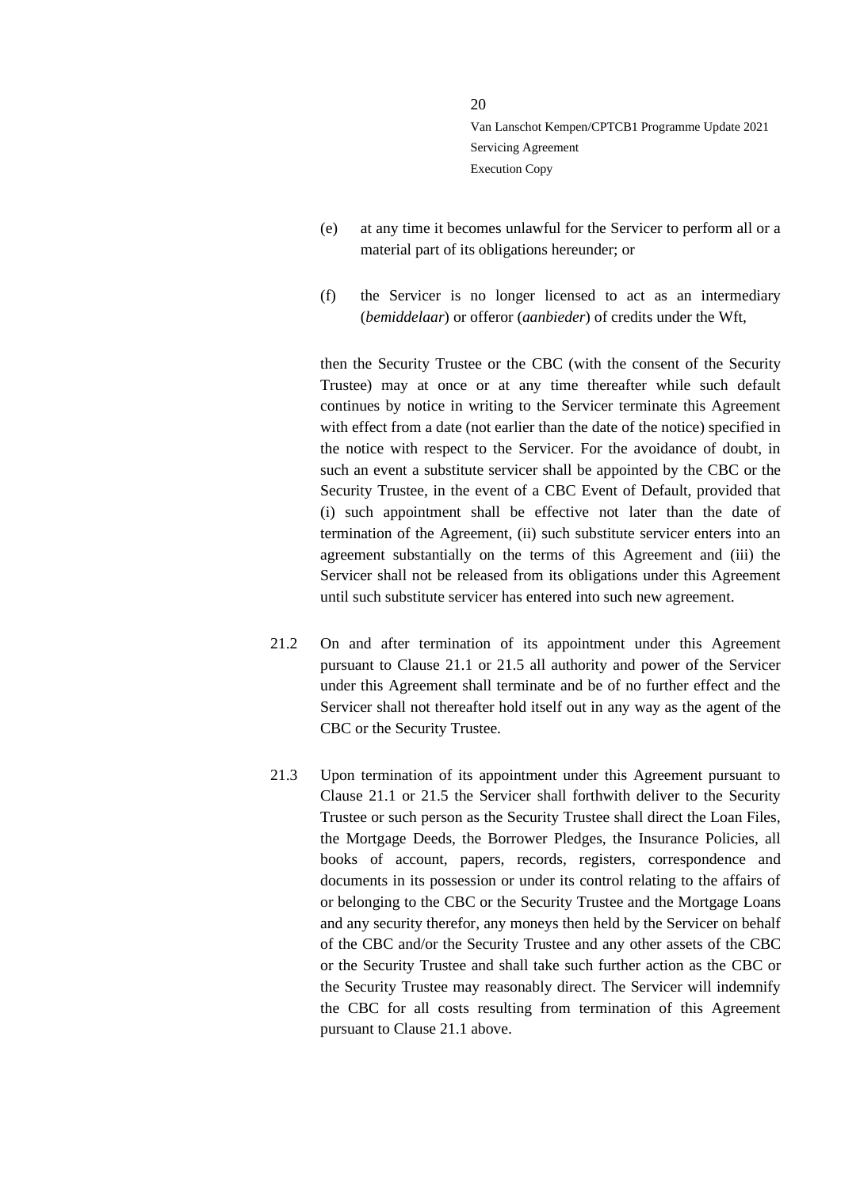- (e) at any time it becomes unlawful for the Servicer to perform all or a material part of its obligations hereunder; or
- (f) the Servicer is no longer licensed to act as an intermediary (*bemiddelaar*) or offeror (*aanbieder*) of credits under the Wft,

then the Security Trustee or the CBC (with the consent of the Security Trustee) may at once or at any time thereafter while such default continues by notice in writing to the Servicer terminate this Agreement with effect from a date (not earlier than the date of the notice) specified in the notice with respect to the Servicer. For the avoidance of doubt, in such an event a substitute servicer shall be appointed by the CBC or the Security Trustee, in the event of a CBC Event of Default, provided that (i) such appointment shall be effective not later than the date of termination of the Agreement, (ii) such substitute servicer enters into an agreement substantially on the terms of this Agreement and (iii) the Servicer shall not be released from its obligations under this Agreement until such substitute servicer has entered into such new agreement.

- 21.2 On and after termination of its appointment under this Agreement pursuant to Clause [21.1](#page-18-2) or [21.5](#page-20-0) all authority and power of the Servicer under this Agreement shall terminate and be of no further effect and the Servicer shall not thereafter hold itself out in any way as the agent of the CBC or the Security Trustee.
- 21.3 Upon termination of its appointment under this Agreement pursuant to Clause [21.1](#page-18-2) or [21.5](#page-20-0) the Servicer shall forthwith deliver to the Security Trustee or such person as the Security Trustee shall direct the Loan Files, the Mortgage Deeds, the Borrower Pledges, the Insurance Policies, all books of account, papers, records, registers, correspondence and documents in its possession or under its control relating to the affairs of or belonging to the CBC or the Security Trustee and the Mortgage Loans and any security therefor, any moneys then held by the Servicer on behalf of the CBC and/or the Security Trustee and any other assets of the CBC or the Security Trustee and shall take such further action as the CBC or the Security Trustee may reasonably direct. The Servicer will indemnify the CBC for all costs resulting from termination of this Agreement pursuant to Clause [21.1](#page-18-2) above.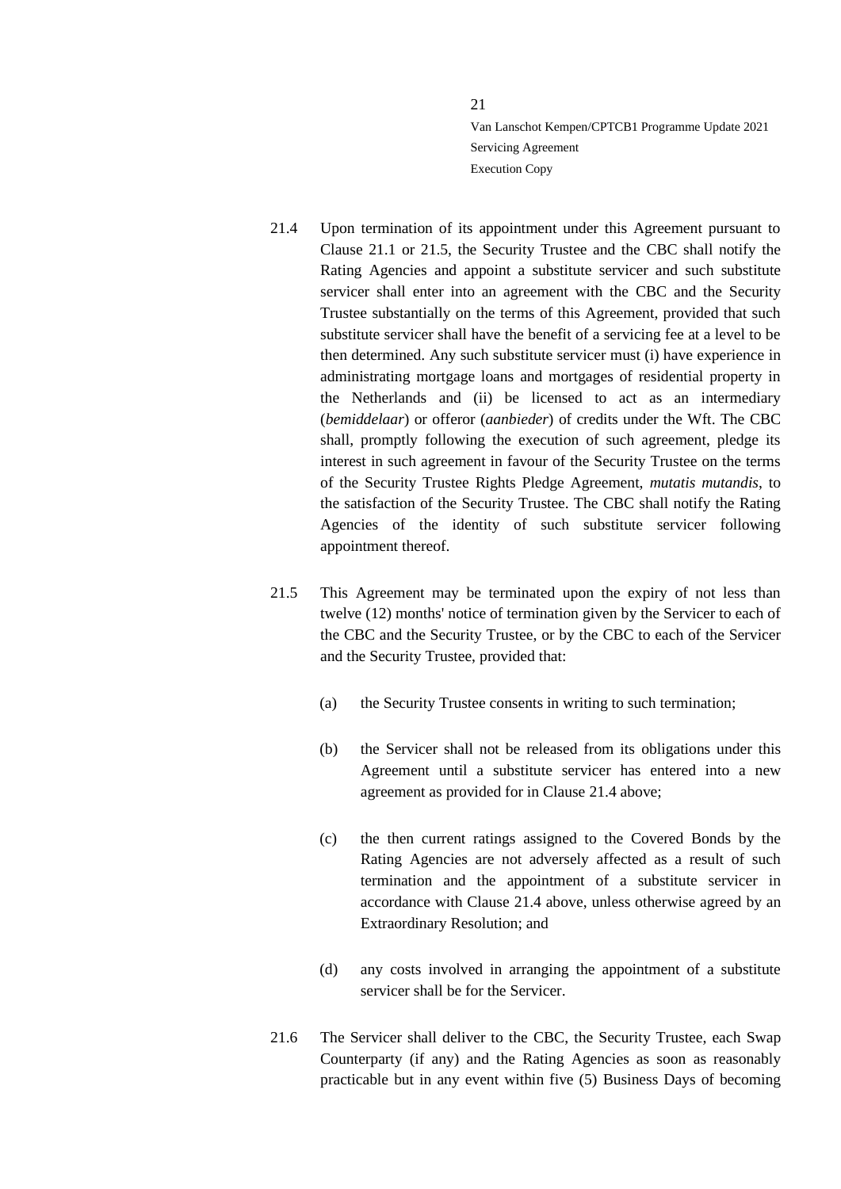- <span id="page-20-1"></span>21.4 Upon termination of its appointment under this Agreement pursuant to Clause [21.1](#page-18-2) or [21.5,](#page-20-0) the Security Trustee and the CBC shall notify the Rating Agencies and appoint a substitute servicer and such substitute servicer shall enter into an agreement with the CBC and the Security Trustee substantially on the terms of this Agreement, provided that such substitute servicer shall have the benefit of a servicing fee at a level to be then determined. Any such substitute servicer must (i) have experience in administrating mortgage loans and mortgages of residential property in the Netherlands and (ii) be licensed to act as an intermediary (*bemiddelaar*) or offeror (*aanbieder*) of credits under the Wft. The CBC shall, promptly following the execution of such agreement, pledge its interest in such agreement in favour of the Security Trustee on the terms of the Security Trustee Rights Pledge Agreement, *mutatis mutandis*, to the satisfaction of the Security Trustee. The CBC shall notify the Rating Agencies of the identity of such substitute servicer following appointment thereof.
- <span id="page-20-0"></span>21.5 This Agreement may be terminated upon the expiry of not less than twelve (12) months' notice of termination given by the Servicer to each of the CBC and the Security Trustee, or by the CBC to each of the Servicer and the Security Trustee, provided that:
	- (a) the Security Trustee consents in writing to such termination;
	- (b) the Servicer shall not be released from its obligations under this Agreement until a substitute servicer has entered into a new agreement as provided for in Clause [21.4](#page-20-1) above;
	- (c) the then current ratings assigned to the Covered Bonds by the Rating Agencies are not adversely affected as a result of such termination and the appointment of a substitute servicer in accordance with Clause [21.4](#page-20-1) above, unless otherwise agreed by an Extraordinary Resolution; and
	- (d) any costs involved in arranging the appointment of a substitute servicer shall be for the Servicer.
- 21.6 The Servicer shall deliver to the CBC, the Security Trustee, each Swap Counterparty (if any) and the Rating Agencies as soon as reasonably practicable but in any event within five (5) Business Days of becoming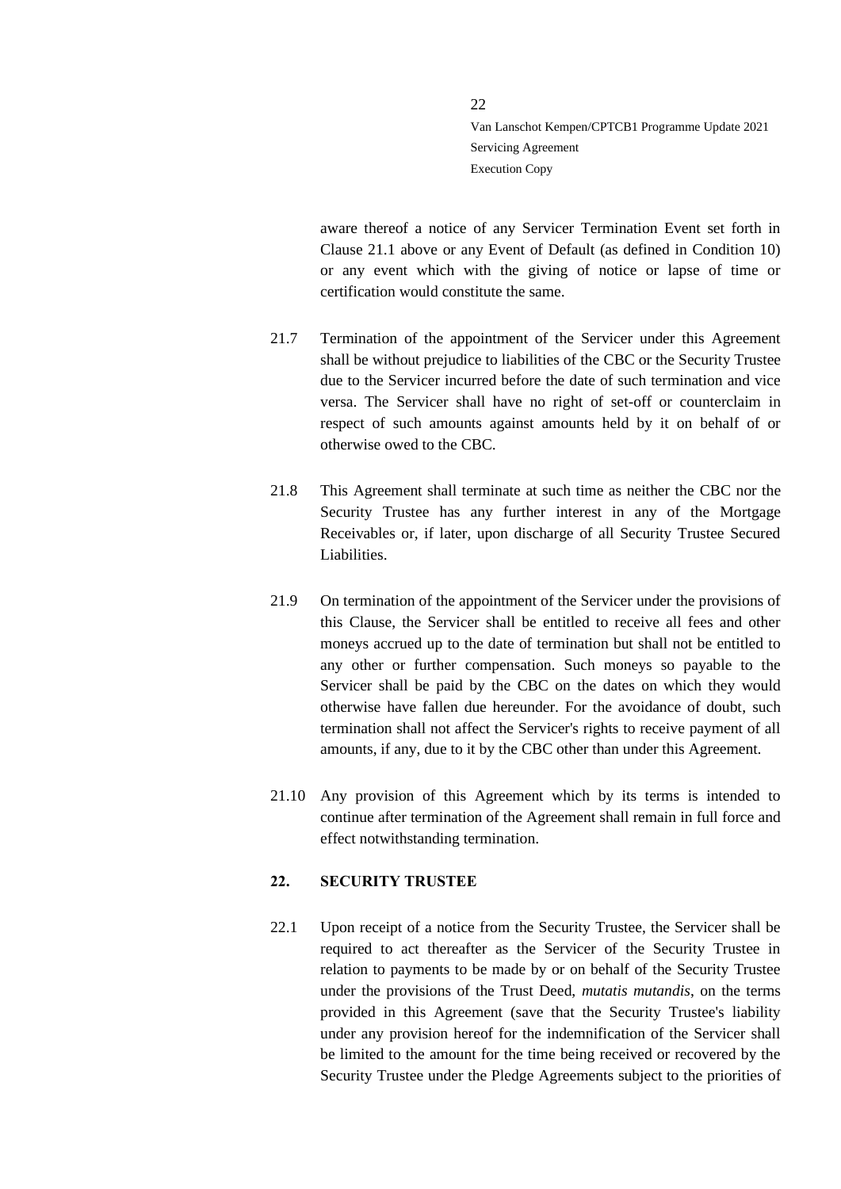aware thereof a notice of any Servicer Termination Event set forth in Clause [21.1](#page-18-2) above or any Event of Default (as defined in Condition 10) or any event which with the giving of notice or lapse of time or certification would constitute the same.

 $22$ 

- 21.7 Termination of the appointment of the Servicer under this Agreement shall be without prejudice to liabilities of the CBC or the Security Trustee due to the Servicer incurred before the date of such termination and vice versa. The Servicer shall have no right of set-off or counterclaim in respect of such amounts against amounts held by it on behalf of or otherwise owed to the CBC.
- 21.8 This Agreement shall terminate at such time as neither the CBC nor the Security Trustee has any further interest in any of the Mortgage Receivables or, if later, upon discharge of all Security Trustee Secured Liabilities.
- 21.9 On termination of the appointment of the Servicer under the provisions of this Clause, the Servicer shall be entitled to receive all fees and other moneys accrued up to the date of termination but shall not be entitled to any other or further compensation. Such moneys so payable to the Servicer shall be paid by the CBC on the dates on which they would otherwise have fallen due hereunder. For the avoidance of doubt, such termination shall not affect the Servicer's rights to receive payment of all amounts, if any, due to it by the CBC other than under this Agreement.
- 21.10 Any provision of this Agreement which by its terms is intended to continue after termination of the Agreement shall remain in full force and effect notwithstanding termination.

### <span id="page-21-0"></span>**22. SECURITY TRUSTEE**

22.1 Upon receipt of a notice from the Security Trustee, the Servicer shall be required to act thereafter as the Servicer of the Security Trustee in relation to payments to be made by or on behalf of the Security Trustee under the provisions of the Trust Deed, *mutatis mutandis*, on the terms provided in this Agreement (save that the Security Trustee's liability under any provision hereof for the indemnification of the Servicer shall be limited to the amount for the time being received or recovered by the Security Trustee under the Pledge Agreements subject to the priorities of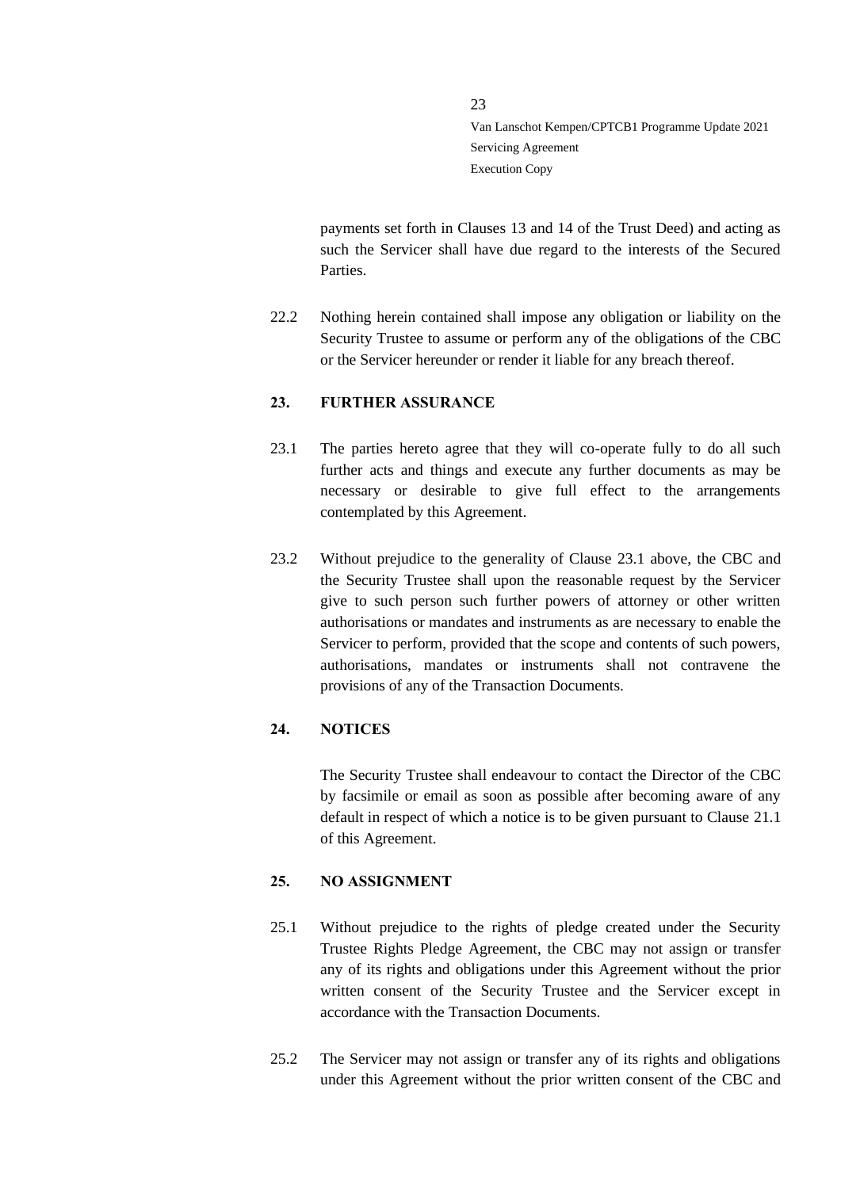payments set forth in Clauses 13 and 14 of the Trust Deed) and acting as such the Servicer shall have due regard to the interests of the Secured Parties.

22.2 Nothing herein contained shall impose any obligation or liability on the Security Trustee to assume or perform any of the obligations of the CBC or the Servicer hereunder or render it liable for any breach thereof.

23

### <span id="page-22-0"></span>**23. FURTHER ASSURANCE**

- <span id="page-22-3"></span>23.1 The parties hereto agree that they will co-operate fully to do all such further acts and things and execute any further documents as may be necessary or desirable to give full effect to the arrangements contemplated by this Agreement.
- 23.2 Without prejudice to the generality of Clause [23.1](#page-22-3) above, the CBC and the Security Trustee shall upon the reasonable request by the Servicer give to such person such further powers of attorney or other written authorisations or mandates and instruments as are necessary to enable the Servicer to perform, provided that the scope and contents of such powers, authorisations, mandates or instruments shall not contravene the provisions of any of the Transaction Documents.

### <span id="page-22-1"></span>**24. NOTICES**

The Security Trustee shall endeavour to contact the Director of the CBC by facsimile or email as soon as possible after becoming aware of any default in respect of which a notice is to be given pursuant to Clause [21.1](#page-18-2) of this Agreement.

### <span id="page-22-2"></span>**25. NO ASSIGNMENT**

- 25.1 Without prejudice to the rights of pledge created under the Security Trustee Rights Pledge Agreement, the CBC may not assign or transfer any of its rights and obligations under this Agreement without the prior written consent of the Security Trustee and the Servicer except in accordance with the Transaction Documents.
- 25.2 The Servicer may not assign or transfer any of its rights and obligations under this Agreement without the prior written consent of the CBC and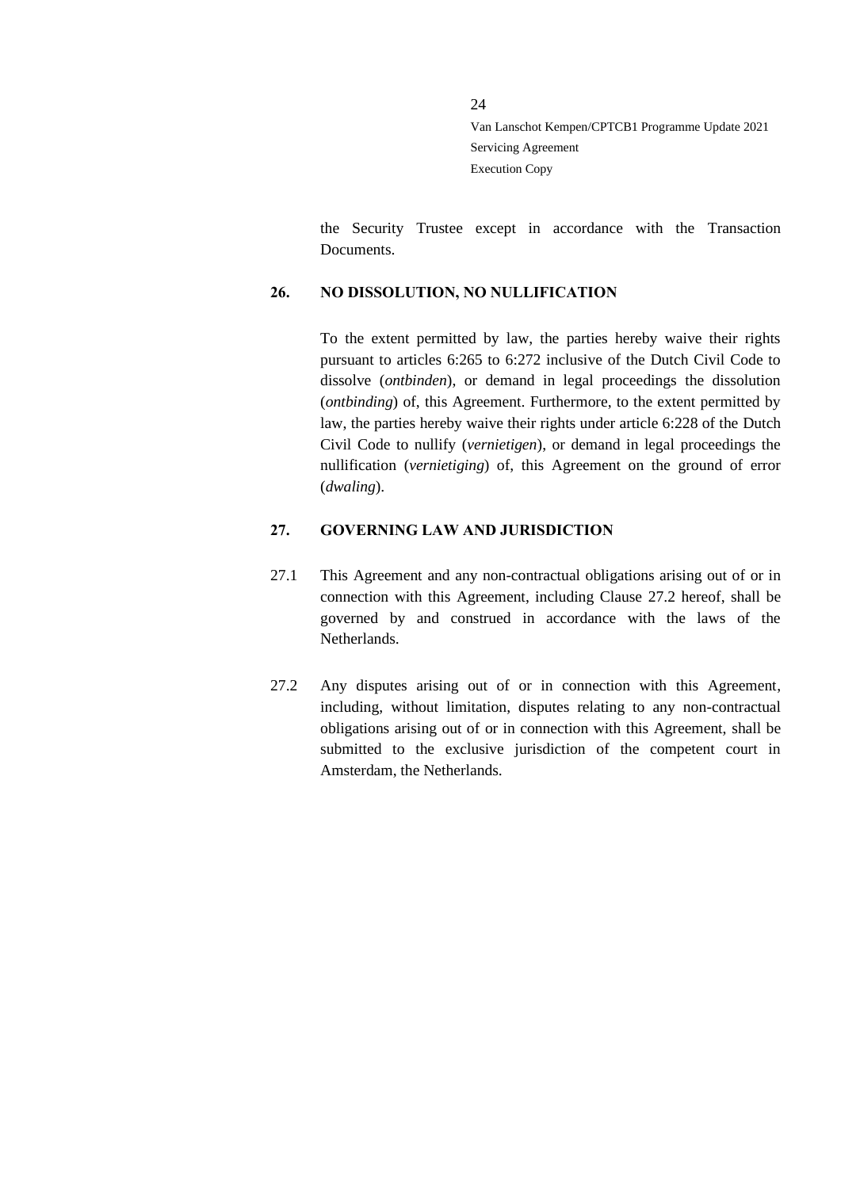the Security Trustee except in accordance with the Transaction Documents.

### <span id="page-23-0"></span>**26. NO DISSOLUTION, NO NULLIFICATION**

To the extent permitted by law, the parties hereby waive their rights pursuant to articles 6:265 to 6:272 inclusive of the Dutch Civil Code to dissolve (*ontbinden*), or demand in legal proceedings the dissolution (*ontbinding*) of, this Agreement. Furthermore, to the extent permitted by law, the parties hereby waive their rights under article 6:228 of the Dutch Civil Code to nullify (*vernietigen*), or demand in legal proceedings the nullification (*vernietiging*) of, this Agreement on the ground of error (*dwaling*).

### <span id="page-23-1"></span>**27. GOVERNING LAW AND JURISDICTION**

- 27.1 This Agreement and any non-contractual obligations arising out of or in connection with this Agreement, including Clause [27.2](#page-23-2) hereof, shall be governed by and construed in accordance with the laws of the Netherlands.
- <span id="page-23-2"></span>27.2 Any disputes arising out of or in connection with this Agreement, including, without limitation, disputes relating to any non-contractual obligations arising out of or in connection with this Agreement, shall be submitted to the exclusive jurisdiction of the competent court in Amsterdam, the Netherlands.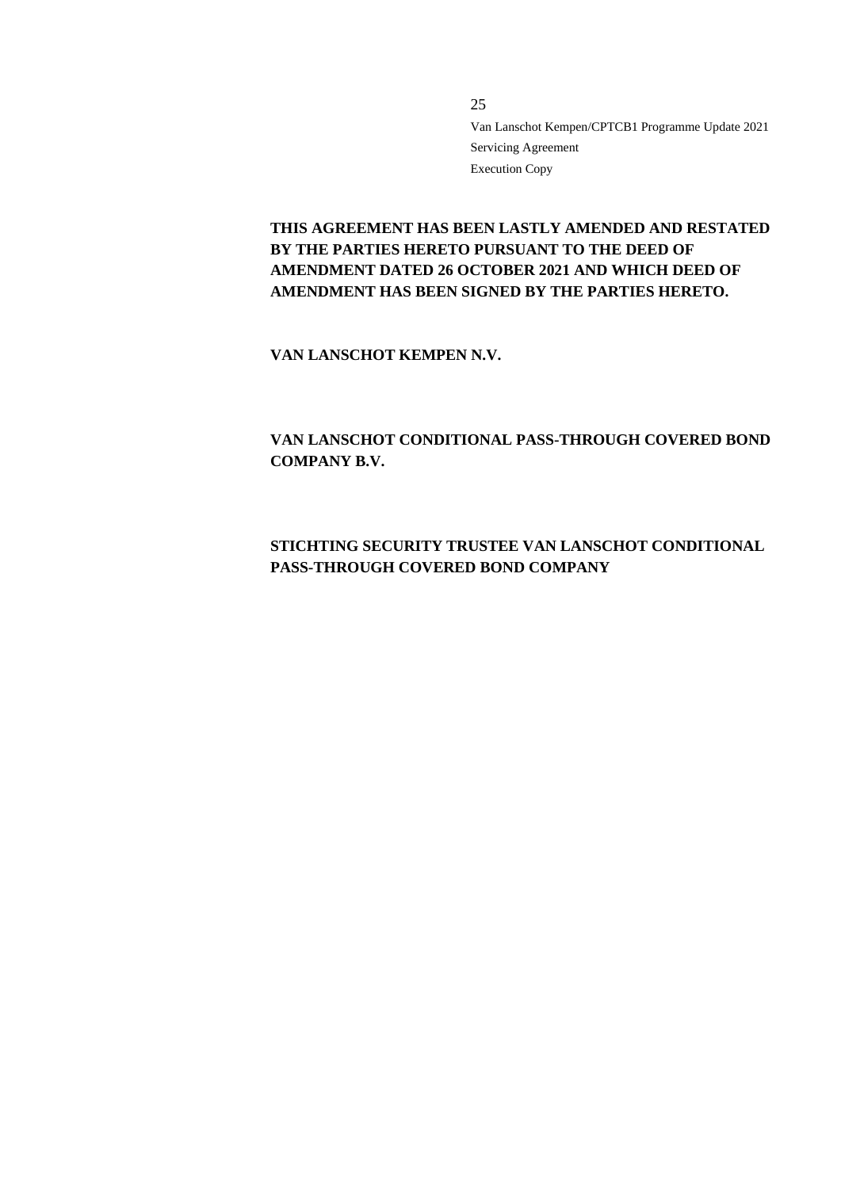**THIS AGREEMENT HAS BEEN LASTLY AMENDED AND RESTATED BY THE PARTIES HERETO PURSUANT TO THE DEED OF AMENDMENT DATED 26 OCTOBER 2021 AND WHICH DEED OF AMENDMENT HAS BEEN SIGNED BY THE PARTIES HERETO.**

**VAN LANSCHOT KEMPEN N.V.**

**VAN LANSCHOT CONDITIONAL PASS-THROUGH COVERED BOND COMPANY B.V.**

# **STICHTING SECURITY TRUSTEE VAN LANSCHOT CONDITIONAL PASS-THROUGH COVERED BOND COMPANY**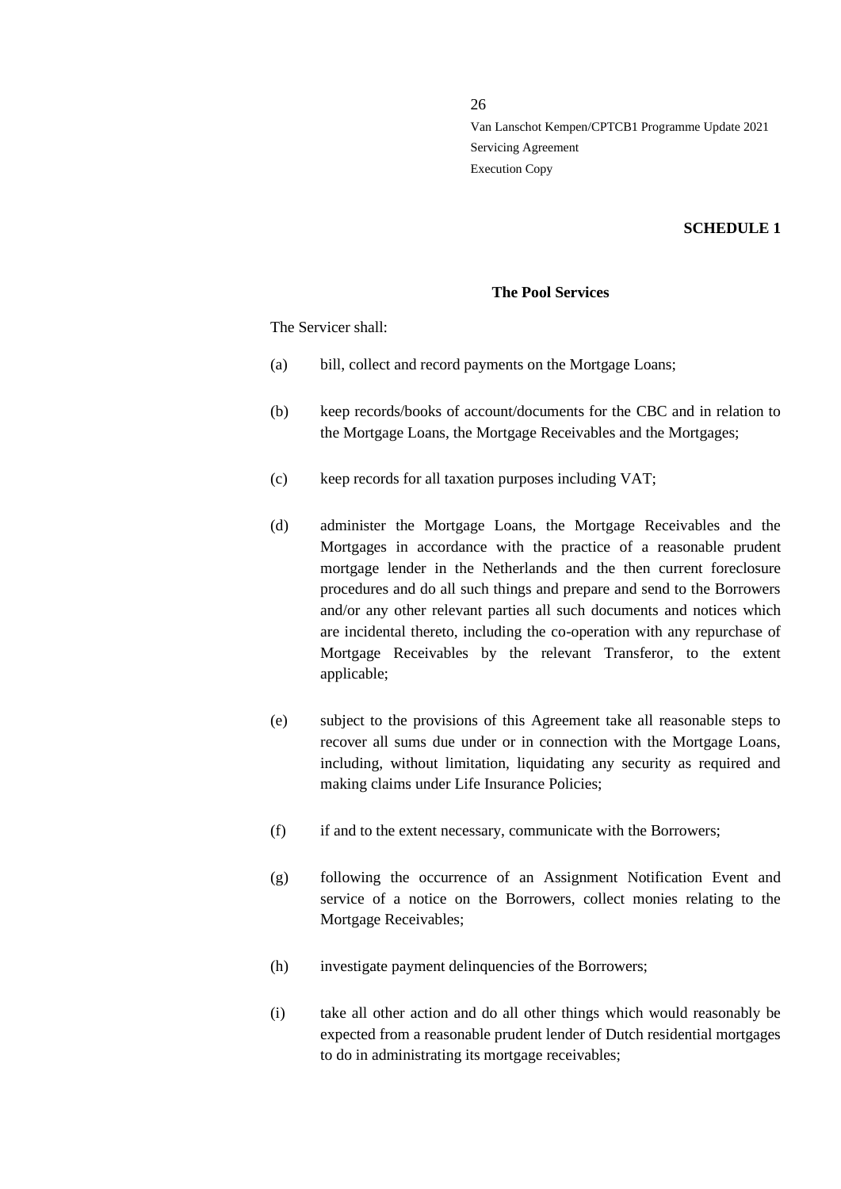### **SCHEDULE 1**

### **The Pool Services**

The Servicer shall:

- (a) bill, collect and record payments on the Mortgage Loans;
- (b) keep records/books of account/documents for the CBC and in relation to the Mortgage Loans, the Mortgage Receivables and the Mortgages;
- (c) keep records for all taxation purposes including VAT;
- (d) administer the Mortgage Loans, the Mortgage Receivables and the Mortgages in accordance with the practice of a reasonable prudent mortgage lender in the Netherlands and the then current foreclosure procedures and do all such things and prepare and send to the Borrowers and/or any other relevant parties all such documents and notices which are incidental thereto, including the co-operation with any repurchase of Mortgage Receivables by the relevant Transferor, to the extent applicable;
- (e) subject to the provisions of this Agreement take all reasonable steps to recover all sums due under or in connection with the Mortgage Loans, including, without limitation, liquidating any security as required and making claims under Life Insurance Policies;
- (f) if and to the extent necessary, communicate with the Borrowers;
- (g) following the occurrence of an Assignment Notification Event and service of a notice on the Borrowers, collect monies relating to the Mortgage Receivables;
- (h) investigate payment delinquencies of the Borrowers;
- (i) take all other action and do all other things which would reasonably be expected from a reasonable prudent lender of Dutch residential mortgages to do in administrating its mortgage receivables;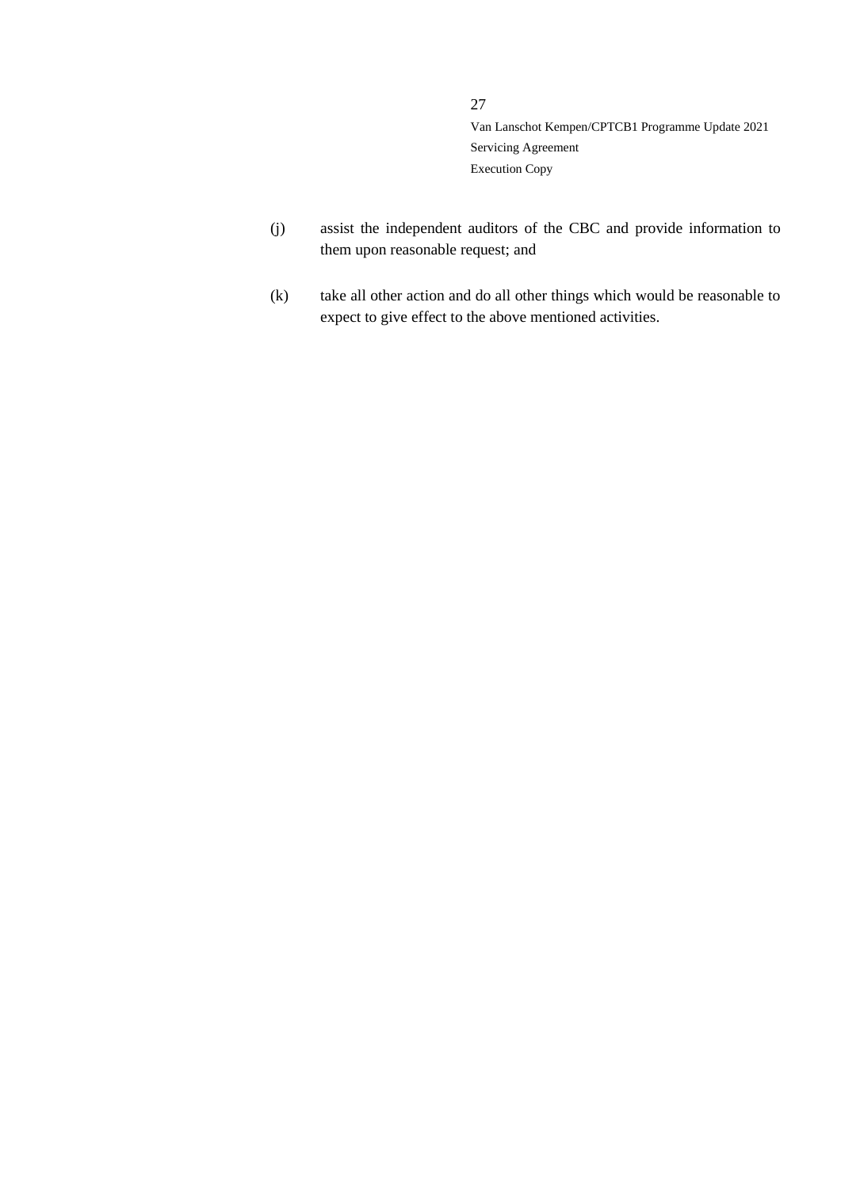- (j) assist the independent auditors of the CBC and provide information to them upon reasonable request; and
- (k) take all other action and do all other things which would be reasonable to expect to give effect to the above mentioned activities.